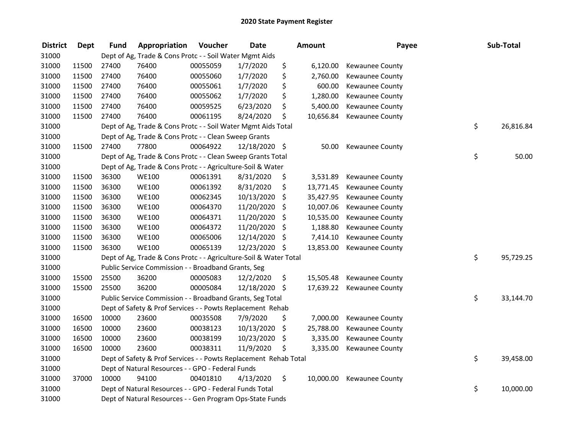| <b>District</b> | <b>Dept</b> | <b>Fund</b> | Appropriation                                                     | Voucher  | <b>Date</b>   |     | <b>Amount</b> | Payee           | Sub-Total       |
|-----------------|-------------|-------------|-------------------------------------------------------------------|----------|---------------|-----|---------------|-----------------|-----------------|
| 31000           |             |             | Dept of Ag, Trade & Cons Protc - - Soil Water Mgmt Aids           |          |               |     |               |                 |                 |
| 31000           | 11500       | 27400       | 76400                                                             | 00055059 | 1/7/2020      | \$  | 6,120.00      | Kewaunee County |                 |
| 31000           | 11500       | 27400       | 76400                                                             | 00055060 | 1/7/2020      | \$  | 2,760.00      | Kewaunee County |                 |
| 31000           | 11500       | 27400       | 76400                                                             | 00055061 | 1/7/2020      | \$  | 600.00        | Kewaunee County |                 |
| 31000           | 11500       | 27400       | 76400                                                             | 00055062 | 1/7/2020      | \$  | 1,280.00      | Kewaunee County |                 |
| 31000           | 11500       | 27400       | 76400                                                             | 00059525 | 6/23/2020     | \$  | 5,400.00      | Kewaunee County |                 |
| 31000           | 11500       | 27400       | 76400                                                             | 00061195 | 8/24/2020     | \$  | 10,656.84     | Kewaunee County |                 |
| 31000           |             |             | Dept of Ag, Trade & Cons Protc - - Soil Water Mgmt Aids Total     |          |               |     |               |                 | \$<br>26,816.84 |
| 31000           |             |             | Dept of Ag, Trade & Cons Protc - - Clean Sweep Grants             |          |               |     |               |                 |                 |
| 31000           | 11500       | 27400       | 77800                                                             | 00064922 | 12/18/2020 \$ |     | 50.00         | Kewaunee County |                 |
| 31000           |             |             | Dept of Ag, Trade & Cons Protc - - Clean Sweep Grants Total       |          |               |     |               |                 | \$<br>50.00     |
| 31000           |             |             | Dept of Ag, Trade & Cons Protc - - Agriculture-Soil & Water       |          |               |     |               |                 |                 |
| 31000           | 11500       | 36300       | <b>WE100</b>                                                      | 00061391 | 8/31/2020     | \$  | 3,531.89      | Kewaunee County |                 |
| 31000           | 11500       | 36300       | <b>WE100</b>                                                      | 00061392 | 8/31/2020     | \$  | 13,771.45     | Kewaunee County |                 |
| 31000           | 11500       | 36300       | <b>WE100</b>                                                      | 00062345 | 10/13/2020    | \$  | 35,427.95     | Kewaunee County |                 |
| 31000           | 11500       | 36300       | <b>WE100</b>                                                      | 00064370 | 11/20/2020    | \$  | 10,007.06     | Kewaunee County |                 |
| 31000           | 11500       | 36300       | <b>WE100</b>                                                      | 00064371 | 11/20/2020    | \$  | 10,535.00     | Kewaunee County |                 |
| 31000           | 11500       | 36300       | <b>WE100</b>                                                      | 00064372 | 11/20/2020    | -\$ | 1,188.80      | Kewaunee County |                 |
| 31000           | 11500       | 36300       | <b>WE100</b>                                                      | 00065006 | 12/14/2020    | \$  | 7,414.10      | Kewaunee County |                 |
| 31000           | 11500       | 36300       | <b>WE100</b>                                                      | 00065139 | 12/23/2020 \$ |     | 13,853.00     | Kewaunee County |                 |
| 31000           |             |             | Dept of Ag, Trade & Cons Protc - - Agriculture-Soil & Water Total |          |               |     |               |                 | \$<br>95,729.25 |
| 31000           |             |             | Public Service Commission - - Broadband Grants, Seg               |          |               |     |               |                 |                 |
| 31000           | 15500       | 25500       | 36200                                                             | 00005083 | 12/2/2020     | \$  | 15,505.48     | Kewaunee County |                 |
| 31000           | 15500       | 25500       | 36200                                                             | 00005084 | 12/18/2020 \$ |     | 17,639.22     | Kewaunee County |                 |
| 31000           |             |             | Public Service Commission - - Broadband Grants, Seg Total         |          |               |     |               |                 | \$<br>33,144.70 |
| 31000           |             |             | Dept of Safety & Prof Services - - Powts Replacement Rehab        |          |               |     |               |                 |                 |
| 31000           | 16500       | 10000       | 23600                                                             | 00035508 | 7/9/2020      | \$  | 7,000.00      | Kewaunee County |                 |
| 31000           | 16500       | 10000       | 23600                                                             | 00038123 | 10/13/2020    | \$  | 25,788.00     | Kewaunee County |                 |
| 31000           | 16500       | 10000       | 23600                                                             | 00038199 | 10/23/2020    | \$  | 3,335.00      | Kewaunee County |                 |
| 31000           | 16500       | 10000       | 23600                                                             | 00038311 | 11/9/2020     | \$  | 3,335.00      | Kewaunee County |                 |
| 31000           |             |             | Dept of Safety & Prof Services - - Powts Replacement Rehab Total  |          |               |     |               |                 | \$<br>39,458.00 |
| 31000           |             |             | Dept of Natural Resources - - GPO - Federal Funds                 |          |               |     |               |                 |                 |
| 31000           | 37000       | 10000       | 94100                                                             | 00401810 | 4/13/2020     | \$  | 10,000.00     | Kewaunee County |                 |
| 31000           |             |             | Dept of Natural Resources - - GPO - Federal Funds Total           |          |               |     |               |                 | \$<br>10,000.00 |
| 31000           |             |             | Dept of Natural Resources - - Gen Program Ops-State Funds         |          |               |     |               |                 |                 |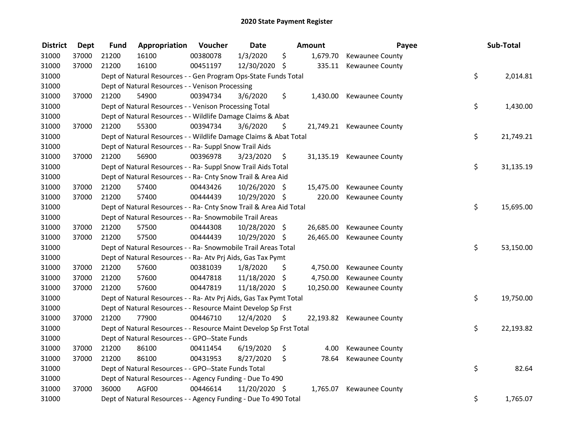| <b>District</b> | <b>Dept</b> | <b>Fund</b> | Appropriation                                                      | Voucher  | <b>Date</b>   |     | Amount    | Payee                     | Sub-Total       |
|-----------------|-------------|-------------|--------------------------------------------------------------------|----------|---------------|-----|-----------|---------------------------|-----------------|
| 31000           | 37000       | 21200       | 16100                                                              | 00380078 | 1/3/2020      | \$  | 1,679.70  | Kewaunee County           |                 |
| 31000           | 37000       | 21200       | 16100                                                              | 00451197 | 12/30/2020 \$ |     |           | 335.11 Kewaunee County    |                 |
| 31000           |             |             | Dept of Natural Resources - - Gen Program Ops-State Funds Total    |          |               |     |           |                           | \$<br>2,014.81  |
| 31000           |             |             | Dept of Natural Resources - - Venison Processing                   |          |               |     |           |                           |                 |
| 31000           | 37000       | 21200       | 54900                                                              | 00394734 | 3/6/2020      | \$  | 1,430.00  | Kewaunee County           |                 |
| 31000           |             |             | Dept of Natural Resources - - Venison Processing Total             |          |               |     |           |                           | \$<br>1,430.00  |
| 31000           |             |             | Dept of Natural Resources - - Wildlife Damage Claims & Abat        |          |               |     |           |                           |                 |
| 31000           | 37000       | 21200       | 55300                                                              | 00394734 | 3/6/2020      | \$. |           | 21,749.21 Kewaunee County |                 |
| 31000           |             |             | Dept of Natural Resources - - Wildlife Damage Claims & Abat Total  |          |               |     |           |                           | \$<br>21,749.21 |
| 31000           |             |             | Dept of Natural Resources - - Ra- Suppl Snow Trail Aids            |          |               |     |           |                           |                 |
| 31000           | 37000       | 21200       | 56900                                                              | 00396978 | 3/23/2020     | \$  |           | 31,135.19 Kewaunee County |                 |
| 31000           |             |             | Dept of Natural Resources - - Ra- Suppl Snow Trail Aids Total      |          |               |     |           |                           | \$<br>31,135.19 |
| 31000           |             |             | Dept of Natural Resources - - Ra- Cnty Snow Trail & Area Aid       |          |               |     |           |                           |                 |
| 31000           | 37000       | 21200       | 57400                                                              | 00443426 | 10/26/2020 \$ |     | 15,475.00 | Kewaunee County           |                 |
| 31000           | 37000       | 21200       | 57400                                                              | 00444439 | 10/29/2020 \$ |     | 220.00    | <b>Kewaunee County</b>    |                 |
| 31000           |             |             | Dept of Natural Resources - - Ra- Cnty Snow Trail & Area Aid Total |          |               |     |           |                           | \$<br>15,695.00 |
| 31000           |             |             | Dept of Natural Resources - - Ra- Snowmobile Trail Areas           |          |               |     |           |                           |                 |
| 31000           | 37000       | 21200       | 57500                                                              | 00444308 | 10/28/2020 \$ |     | 26,685.00 | Kewaunee County           |                 |
| 31000           | 37000       | 21200       | 57500                                                              | 00444439 | 10/29/2020 \$ |     | 26,465.00 | <b>Kewaunee County</b>    |                 |
| 31000           |             |             | Dept of Natural Resources - - Ra- Snowmobile Trail Areas Total     |          |               |     |           |                           | \$<br>53,150.00 |
| 31000           |             |             | Dept of Natural Resources - - Ra- Atv Prj Aids, Gas Tax Pymt       |          |               |     |           |                           |                 |
| 31000           | 37000       | 21200       | 57600                                                              | 00381039 | 1/8/2020      | \$  | 4,750.00  | Kewaunee County           |                 |
| 31000           | 37000       | 21200       | 57600                                                              | 00447818 | 11/18/2020    | \$  | 4,750.00  | Kewaunee County           |                 |
| 31000           | 37000       | 21200       | 57600                                                              | 00447819 | 11/18/2020 \$ |     | 10,250.00 | Kewaunee County           |                 |
| 31000           |             |             | Dept of Natural Resources - - Ra- Atv Prj Aids, Gas Tax Pymt Total |          |               |     |           |                           | \$<br>19,750.00 |
| 31000           |             |             | Dept of Natural Resources - - Resource Maint Develop Sp Frst       |          |               |     |           |                           |                 |
| 31000           | 37000       | 21200       | 77900                                                              | 00446710 | 12/4/2020     | \$  |           | 22,193.82 Kewaunee County |                 |
| 31000           |             |             | Dept of Natural Resources - - Resource Maint Develop Sp Frst Total |          |               |     |           |                           | \$<br>22,193.82 |
| 31000           |             |             | Dept of Natural Resources - - GPO--State Funds                     |          |               |     |           |                           |                 |
| 31000           | 37000       | 21200       | 86100                                                              | 00411454 | 6/19/2020     | \$  | 4.00      | Kewaunee County           |                 |
| 31000           | 37000       | 21200       | 86100                                                              | 00431953 | 8/27/2020     | \$  | 78.64     | Kewaunee County           |                 |
| 31000           |             |             | Dept of Natural Resources - - GPO--State Funds Total               |          |               |     |           |                           | \$<br>82.64     |
| 31000           |             |             | Dept of Natural Resources - - Agency Funding - Due To 490          |          |               |     |           |                           |                 |
| 31000           | 37000       | 36000       | AGF00                                                              | 00446614 | 11/20/2020 \$ |     |           | 1,765.07 Kewaunee County  |                 |
| 31000           |             |             | Dept of Natural Resources - - Agency Funding - Due To 490 Total    |          |               |     |           |                           | \$<br>1,765.07  |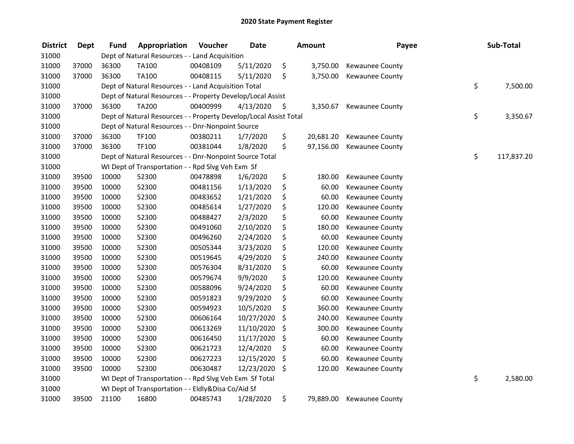| <b>District</b> | <b>Dept</b> | <b>Fund</b> | Appropriation                                                     | Voucher  | <b>Date</b> | <b>Amount</b>   | Payee                  | Sub-Total        |
|-----------------|-------------|-------------|-------------------------------------------------------------------|----------|-------------|-----------------|------------------------|------------------|
| 31000           |             |             | Dept of Natural Resources - - Land Acquisition                    |          |             |                 |                        |                  |
| 31000           | 37000       | 36300       | TA100                                                             | 00408109 | 5/11/2020   | \$<br>3,750.00  | Kewaunee County        |                  |
| 31000           | 37000       | 36300       | TA100                                                             | 00408115 | 5/11/2020   | \$<br>3,750.00  | <b>Kewaunee County</b> |                  |
| 31000           |             |             | Dept of Natural Resources - - Land Acquisition Total              |          |             |                 |                        | \$<br>7,500.00   |
| 31000           |             |             | Dept of Natural Resources - - Property Develop/Local Assist       |          |             |                 |                        |                  |
| 31000           | 37000       | 36300       | <b>TA200</b>                                                      | 00400999 | 4/13/2020   | \$<br>3,350.67  | <b>Kewaunee County</b> |                  |
| 31000           |             |             | Dept of Natural Resources - - Property Develop/Local Assist Total |          |             |                 |                        | \$<br>3,350.67   |
| 31000           |             |             | Dept of Natural Resources - - Dnr-Nonpoint Source                 |          |             |                 |                        |                  |
| 31000           | 37000       | 36300       | TF100                                                             | 00380211 | 1/7/2020    | \$<br>20,681.20 | Kewaunee County        |                  |
| 31000           | 37000       | 36300       | TF100                                                             | 00381044 | 1/8/2020    | \$<br>97,156.00 | Kewaunee County        |                  |
| 31000           |             |             | Dept of Natural Resources - - Dnr-Nonpoint Source Total           |          |             |                 |                        | \$<br>117,837.20 |
| 31000           |             |             | WI Dept of Transportation - - Rpd Slvg Veh Exm Sf                 |          |             |                 |                        |                  |
| 31000           | 39500       | 10000       | 52300                                                             | 00478898 | 1/6/2020    | \$<br>180.00    | Kewaunee County        |                  |
| 31000           | 39500       | 10000       | 52300                                                             | 00481156 | 1/13/2020   | \$<br>60.00     | Kewaunee County        |                  |
| 31000           | 39500       | 10000       | 52300                                                             | 00483652 | 1/21/2020   | \$<br>60.00     | Kewaunee County        |                  |
| 31000           | 39500       | 10000       | 52300                                                             | 00485614 | 1/27/2020   | \$<br>120.00    | Kewaunee County        |                  |
| 31000           | 39500       | 10000       | 52300                                                             | 00488427 | 2/3/2020    | \$<br>60.00     | Kewaunee County        |                  |
| 31000           | 39500       | 10000       | 52300                                                             | 00491060 | 2/10/2020   | \$<br>180.00    | Kewaunee County        |                  |
| 31000           | 39500       | 10000       | 52300                                                             | 00496260 | 2/24/2020   | \$<br>60.00     | Kewaunee County        |                  |
| 31000           | 39500       | 10000       | 52300                                                             | 00505344 | 3/23/2020   | \$<br>120.00    | Kewaunee County        |                  |
| 31000           | 39500       | 10000       | 52300                                                             | 00519645 | 4/29/2020   | \$<br>240.00    | Kewaunee County        |                  |
| 31000           | 39500       | 10000       | 52300                                                             | 00576304 | 8/31/2020   | \$<br>60.00     | Kewaunee County        |                  |
| 31000           | 39500       | 10000       | 52300                                                             | 00579674 | 9/9/2020    | \$<br>120.00    | Kewaunee County        |                  |
| 31000           | 39500       | 10000       | 52300                                                             | 00588096 | 9/24/2020   | \$<br>60.00     | Kewaunee County        |                  |
| 31000           | 39500       | 10000       | 52300                                                             | 00591823 | 9/29/2020   | \$<br>60.00     | Kewaunee County        |                  |
| 31000           | 39500       | 10000       | 52300                                                             | 00594923 | 10/5/2020   | \$<br>360.00    | Kewaunee County        |                  |
| 31000           | 39500       | 10000       | 52300                                                             | 00606164 | 10/27/2020  | \$<br>240.00    | <b>Kewaunee County</b> |                  |
| 31000           | 39500       | 10000       | 52300                                                             | 00613269 | 11/10/2020  | \$<br>300.00    | Kewaunee County        |                  |
| 31000           | 39500       | 10000       | 52300                                                             | 00616450 | 11/17/2020  | \$<br>60.00     | Kewaunee County        |                  |
| 31000           | 39500       | 10000       | 52300                                                             | 00621723 | 12/4/2020   | \$<br>60.00     | Kewaunee County        |                  |
| 31000           | 39500       | 10000       | 52300                                                             | 00627223 | 12/15/2020  | \$<br>60.00     | Kewaunee County        |                  |
| 31000           | 39500       | 10000       | 52300                                                             | 00630487 | 12/23/2020  | \$<br>120.00    | Kewaunee County        |                  |
| 31000           |             |             | WI Dept of Transportation - - Rpd Slvg Veh Exm Sf Total           |          |             |                 |                        | \$<br>2,580.00   |
| 31000           |             |             | WI Dept of Transportation - - Eldly&Disa Co/Aid Sf                |          |             |                 |                        |                  |
| 31000           | 39500       | 21100       | 16800                                                             | 00485743 | 1/28/2020   | \$<br>79,889.00 | Kewaunee County        |                  |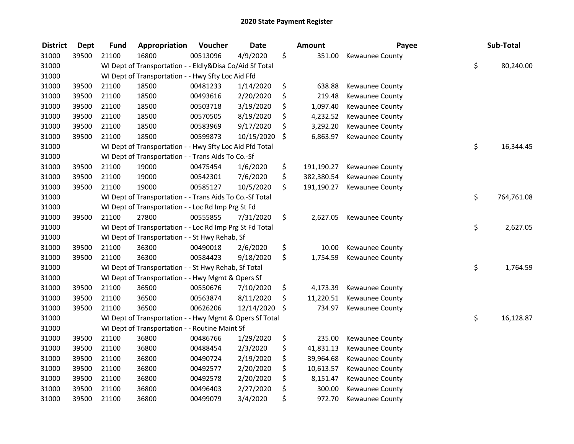| <b>District</b> | <b>Dept</b> | <b>Fund</b> | Appropriation                                            | Voucher  | <b>Date</b> |         | Amount     | Payee           | Sub-Total        |
|-----------------|-------------|-------------|----------------------------------------------------------|----------|-------------|---------|------------|-----------------|------------------|
| 31000           | 39500       | 21100       | 16800                                                    | 00513096 | 4/9/2020    | \$      | 351.00     | Kewaunee County |                  |
| 31000           |             |             | WI Dept of Transportation - - Eldly&Disa Co/Aid Sf Total |          |             |         |            |                 | \$<br>80,240.00  |
| 31000           |             |             | WI Dept of Transportation - - Hwy Sfty Loc Aid Ffd       |          |             |         |            |                 |                  |
| 31000           | 39500       | 21100       | 18500                                                    | 00481233 | 1/14/2020   | \$      | 638.88     | Kewaunee County |                  |
| 31000           | 39500       | 21100       | 18500                                                    | 00493616 | 2/20/2020   | \$      | 219.48     | Kewaunee County |                  |
| 31000           | 39500       | 21100       | 18500                                                    | 00503718 | 3/19/2020   | \$      | 1,097.40   | Kewaunee County |                  |
| 31000           | 39500       | 21100       | 18500                                                    | 00570505 | 8/19/2020   | \$      | 4,232.52   | Kewaunee County |                  |
| 31000           | 39500       | 21100       | 18500                                                    | 00583969 | 9/17/2020   | \$      | 3,292.20   | Kewaunee County |                  |
| 31000           | 39500       | 21100       | 18500                                                    | 00599873 | 10/15/2020  | $\zeta$ | 6,863.97   | Kewaunee County |                  |
| 31000           |             |             | WI Dept of Transportation - - Hwy Sfty Loc Aid Ffd Total |          |             |         |            |                 | \$<br>16,344.45  |
| 31000           |             |             | WI Dept of Transportation - - Trans Aids To Co.-Sf       |          |             |         |            |                 |                  |
| 31000           | 39500       | 21100       | 19000                                                    | 00475454 | 1/6/2020    | \$      | 191,190.27 | Kewaunee County |                  |
| 31000           | 39500       | 21100       | 19000                                                    | 00542301 | 7/6/2020    | \$      | 382,380.54 | Kewaunee County |                  |
| 31000           | 39500       | 21100       | 19000                                                    | 00585127 | 10/5/2020   | \$      | 191,190.27 | Kewaunee County |                  |
| 31000           |             |             | WI Dept of Transportation - - Trans Aids To Co.-Sf Total |          |             |         |            |                 | \$<br>764,761.08 |
| 31000           |             |             | WI Dept of Transportation - - Loc Rd Imp Prg St Fd       |          |             |         |            |                 |                  |
| 31000           | 39500       | 21100       | 27800                                                    | 00555855 | 7/31/2020   | \$      | 2,627.05   | Kewaunee County |                  |
| 31000           |             |             | WI Dept of Transportation - - Loc Rd Imp Prg St Fd Total |          |             |         |            |                 | \$<br>2,627.05   |
| 31000           |             |             | WI Dept of Transportation - - St Hwy Rehab, Sf           |          |             |         |            |                 |                  |
| 31000           | 39500       | 21100       | 36300                                                    | 00490018 | 2/6/2020    | \$      | 10.00      | Kewaunee County |                  |
| 31000           | 39500       | 21100       | 36300                                                    | 00584423 | 9/18/2020   | \$      | 1,754.59   | Kewaunee County |                  |
| 31000           |             |             | WI Dept of Transportation - - St Hwy Rehab, Sf Total     |          |             |         |            |                 | \$<br>1,764.59   |
| 31000           |             |             | WI Dept of Transportation - - Hwy Mgmt & Opers Sf        |          |             |         |            |                 |                  |
| 31000           | 39500       | 21100       | 36500                                                    | 00550676 | 7/10/2020   | \$      | 4,173.39   | Kewaunee County |                  |
| 31000           | 39500       | 21100       | 36500                                                    | 00563874 | 8/11/2020   | \$      | 11,220.51  | Kewaunee County |                  |
| 31000           | 39500       | 21100       | 36500                                                    | 00626206 | 12/14/2020  | \$      | 734.97     | Kewaunee County |                  |
| 31000           |             |             | WI Dept of Transportation - - Hwy Mgmt & Opers Sf Total  |          |             |         |            |                 | \$<br>16,128.87  |
| 31000           |             |             | WI Dept of Transportation - - Routine Maint Sf           |          |             |         |            |                 |                  |
| 31000           | 39500       | 21100       | 36800                                                    | 00486766 | 1/29/2020   | \$      | 235.00     | Kewaunee County |                  |
| 31000           | 39500       | 21100       | 36800                                                    | 00488454 | 2/3/2020    | \$      | 41,831.13  | Kewaunee County |                  |
| 31000           | 39500       | 21100       | 36800                                                    | 00490724 | 2/19/2020   | \$      | 39,964.68  | Kewaunee County |                  |
| 31000           | 39500       | 21100       | 36800                                                    | 00492577 | 2/20/2020   | \$      | 10,613.57  | Kewaunee County |                  |
| 31000           | 39500       | 21100       | 36800                                                    | 00492578 | 2/20/2020   | \$      | 8,151.47   | Kewaunee County |                  |
| 31000           | 39500       | 21100       | 36800                                                    | 00496403 | 2/27/2020   | \$      | 300.00     | Kewaunee County |                  |
| 31000           | 39500       | 21100       | 36800                                                    | 00499079 | 3/4/2020    | \$      | 972.70     | Kewaunee County |                  |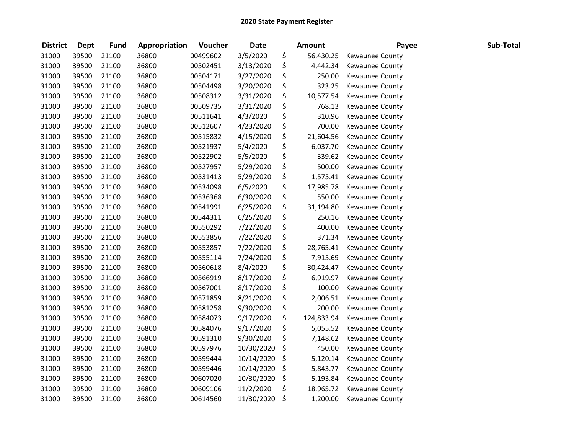| <b>District</b> | <b>Dept</b> | <b>Fund</b> | Appropriation | Voucher  | <b>Date</b> |         | <b>Amount</b> | Payee                  | Sub-Total |
|-----------------|-------------|-------------|---------------|----------|-------------|---------|---------------|------------------------|-----------|
| 31000           | 39500       | 21100       | 36800         | 00499602 | 3/5/2020    | \$      | 56,430.25     | Kewaunee County        |           |
| 31000           | 39500       | 21100       | 36800         | 00502451 | 3/13/2020   | \$      | 4,442.34      | Kewaunee County        |           |
| 31000           | 39500       | 21100       | 36800         | 00504171 | 3/27/2020   | \$      | 250.00        | Kewaunee County        |           |
| 31000           | 39500       | 21100       | 36800         | 00504498 | 3/20/2020   | \$      | 323.25        | Kewaunee County        |           |
| 31000           | 39500       | 21100       | 36800         | 00508312 | 3/31/2020   | \$      | 10,577.54     | Kewaunee County        |           |
| 31000           | 39500       | 21100       | 36800         | 00509735 | 3/31/2020   | \$      | 768.13        | Kewaunee County        |           |
| 31000           | 39500       | 21100       | 36800         | 00511641 | 4/3/2020    | \$      | 310.96        | <b>Kewaunee County</b> |           |
| 31000           | 39500       | 21100       | 36800         | 00512607 | 4/23/2020   | \$      | 700.00        | Kewaunee County        |           |
| 31000           | 39500       | 21100       | 36800         | 00515832 | 4/15/2020   | \$      | 21,604.56     | Kewaunee County        |           |
| 31000           | 39500       | 21100       | 36800         | 00521937 | 5/4/2020    | \$      | 6,037.70      | Kewaunee County        |           |
| 31000           | 39500       | 21100       | 36800         | 00522902 | 5/5/2020    | \$      | 339.62        | Kewaunee County        |           |
| 31000           | 39500       | 21100       | 36800         | 00527957 | 5/29/2020   | \$      | 500.00        | Kewaunee County        |           |
| 31000           | 39500       | 21100       | 36800         | 00531413 | 5/29/2020   | \$      | 1,575.41      | Kewaunee County        |           |
| 31000           | 39500       | 21100       | 36800         | 00534098 | 6/5/2020    | \$      | 17,985.78     | Kewaunee County        |           |
| 31000           | 39500       | 21100       | 36800         | 00536368 | 6/30/2020   | \$      | 550.00        | Kewaunee County        |           |
| 31000           | 39500       | 21100       | 36800         | 00541991 | 6/25/2020   | \$      | 31,194.80     | Kewaunee County        |           |
| 31000           | 39500       | 21100       | 36800         | 00544311 | 6/25/2020   | \$      | 250.16        | Kewaunee County        |           |
| 31000           | 39500       | 21100       | 36800         | 00550292 | 7/22/2020   | \$      | 400.00        | Kewaunee County        |           |
| 31000           | 39500       | 21100       | 36800         | 00553856 | 7/22/2020   | \$      | 371.34        | Kewaunee County        |           |
| 31000           | 39500       | 21100       | 36800         | 00553857 | 7/22/2020   | \$      | 28,765.41     | Kewaunee County        |           |
| 31000           | 39500       | 21100       | 36800         | 00555114 | 7/24/2020   | \$      | 7,915.69      | Kewaunee County        |           |
| 31000           | 39500       | 21100       | 36800         | 00560618 | 8/4/2020    | \$      | 30,424.47     | Kewaunee County        |           |
| 31000           | 39500       | 21100       | 36800         | 00566919 | 8/17/2020   | \$      | 6,919.97      | Kewaunee County        |           |
| 31000           | 39500       | 21100       | 36800         | 00567001 | 8/17/2020   | \$      | 100.00        | Kewaunee County        |           |
| 31000           | 39500       | 21100       | 36800         | 00571859 | 8/21/2020   | \$      | 2,006.51      | Kewaunee County        |           |
| 31000           | 39500       | 21100       | 36800         | 00581258 | 9/30/2020   | \$      | 200.00        | Kewaunee County        |           |
| 31000           | 39500       | 21100       | 36800         | 00584073 | 9/17/2020   | \$      | 124,833.94    | Kewaunee County        |           |
| 31000           | 39500       | 21100       | 36800         | 00584076 | 9/17/2020   | \$      | 5,055.52      | Kewaunee County        |           |
| 31000           | 39500       | 21100       | 36800         | 00591310 | 9/30/2020   | \$      | 7,148.62      | Kewaunee County        |           |
| 31000           | 39500       | 21100       | 36800         | 00597976 | 10/30/2020  | \$      | 450.00        | Kewaunee County        |           |
| 31000           | 39500       | 21100       | 36800         | 00599444 | 10/14/2020  | \$      | 5,120.14      | Kewaunee County        |           |
| 31000           | 39500       | 21100       | 36800         | 00599446 | 10/14/2020  | \$      | 5,843.77      | Kewaunee County        |           |
| 31000           | 39500       | 21100       | 36800         | 00607020 | 10/30/2020  | \$      | 5,193.84      | <b>Kewaunee County</b> |           |
| 31000           | 39500       | 21100       | 36800         | 00609106 | 11/2/2020   | \$      | 18,965.72     | Kewaunee County        |           |
| 31000           | 39500       | 21100       | 36800         | 00614560 | 11/30/2020  | $\zeta$ | 1,200.00      | <b>Kewaunee County</b> |           |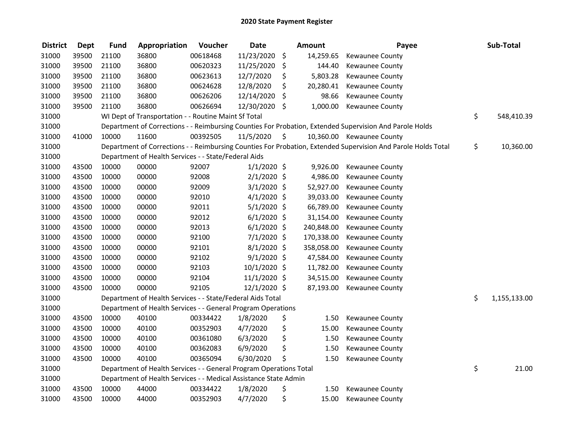| <b>District</b> | <b>Dept</b> | <b>Fund</b> | Appropriation                                                      | Voucher  | <b>Date</b>   |                     | <b>Amount</b> | Payee                                                                                                         | Sub-Total          |
|-----------------|-------------|-------------|--------------------------------------------------------------------|----------|---------------|---------------------|---------------|---------------------------------------------------------------------------------------------------------------|--------------------|
| 31000           | 39500       | 21100       | 36800                                                              | 00618468 | 11/23/2020    | \$                  | 14,259.65     | Kewaunee County                                                                                               |                    |
| 31000           | 39500       | 21100       | 36800                                                              | 00620323 | 11/25/2020    | \$                  | 144.40        | Kewaunee County                                                                                               |                    |
| 31000           | 39500       | 21100       | 36800                                                              | 00623613 | 12/7/2020     | \$                  | 5,803.28      | Kewaunee County                                                                                               |                    |
| 31000           | 39500       | 21100       | 36800                                                              | 00624628 | 12/8/2020     | \$                  | 20,280.41     | Kewaunee County                                                                                               |                    |
| 31000           | 39500       | 21100       | 36800                                                              | 00626206 | 12/14/2020    | \$                  | 98.66         | Kewaunee County                                                                                               |                    |
| 31000           | 39500       | 21100       | 36800                                                              | 00626694 | 12/30/2020    | -\$                 | 1,000.00      | Kewaunee County                                                                                               |                    |
| 31000           |             |             | WI Dept of Transportation - - Routine Maint Sf Total               |          |               |                     |               |                                                                                                               | \$<br>548,410.39   |
| 31000           |             |             |                                                                    |          |               |                     |               | Department of Corrections - - Reimbursing Counties For Probation, Extended Supervision And Parole Holds       |                    |
| 31000           | 41000       | 10000       | 11600                                                              | 00392505 | 11/5/2020     | $\ddot{\mathsf{s}}$ |               | 10,360.00 Kewaunee County                                                                                     |                    |
| 31000           |             |             |                                                                    |          |               |                     |               | Department of Corrections - - Reimbursing Counties For Probation, Extended Supervision And Parole Holds Total | \$<br>10,360.00    |
| 31000           |             |             | Department of Health Services - - State/Federal Aids               |          |               |                     |               |                                                                                                               |                    |
| 31000           | 43500       | 10000       | 00000                                                              | 92007    | $1/1/2020$ \$ |                     | 9,926.00      | Kewaunee County                                                                                               |                    |
| 31000           | 43500       | 10000       | 00000                                                              | 92008    | $2/1/2020$ \$ |                     | 4,986.00      | Kewaunee County                                                                                               |                    |
| 31000           | 43500       | 10000       | 00000                                                              | 92009    | $3/1/2020$ \$ |                     | 52,927.00     | Kewaunee County                                                                                               |                    |
| 31000           | 43500       | 10000       | 00000                                                              | 92010    | $4/1/2020$ \$ |                     | 39,033.00     | Kewaunee County                                                                                               |                    |
| 31000           | 43500       | 10000       | 00000                                                              | 92011    | $5/1/2020$ \$ |                     | 66,789.00     | Kewaunee County                                                                                               |                    |
| 31000           | 43500       | 10000       | 00000                                                              | 92012    | $6/1/2020$ \$ |                     | 31,154.00     | Kewaunee County                                                                                               |                    |
| 31000           | 43500       | 10000       | 00000                                                              | 92013    | $6/1/2020$ \$ |                     | 240,848.00    | Kewaunee County                                                                                               |                    |
| 31000           | 43500       | 10000       | 00000                                                              | 92100    | 7/1/2020 \$   |                     | 170,338.00    | Kewaunee County                                                                                               |                    |
| 31000           | 43500       | 10000       | 00000                                                              | 92101    | 8/1/2020 \$   |                     | 358,058.00    | Kewaunee County                                                                                               |                    |
| 31000           | 43500       | 10000       | 00000                                                              | 92102    | 9/1/2020 \$   |                     | 47,584.00     | Kewaunee County                                                                                               |                    |
| 31000           | 43500       | 10000       | 00000                                                              | 92103    | 10/1/2020 \$  |                     | 11,782.00     | Kewaunee County                                                                                               |                    |
| 31000           | 43500       | 10000       | 00000                                                              | 92104    | 11/1/2020 \$  |                     | 34,515.00     | Kewaunee County                                                                                               |                    |
| 31000           | 43500       | 10000       | 00000                                                              | 92105    | 12/1/2020 \$  |                     | 87,193.00     | Kewaunee County                                                                                               |                    |
| 31000           |             |             | Department of Health Services - - State/Federal Aids Total         |          |               |                     |               |                                                                                                               | \$<br>1,155,133.00 |
| 31000           |             |             | Department of Health Services - - General Program Operations       |          |               |                     |               |                                                                                                               |                    |
| 31000           | 43500       | 10000       | 40100                                                              | 00334422 | 1/8/2020      | \$                  | 1.50          | Kewaunee County                                                                                               |                    |
| 31000           | 43500       | 10000       | 40100                                                              | 00352903 | 4/7/2020      | \$                  | 15.00         | Kewaunee County                                                                                               |                    |
| 31000           | 43500       | 10000       | 40100                                                              | 00361080 | 6/3/2020      | \$                  | 1.50          | Kewaunee County                                                                                               |                    |
| 31000           | 43500       | 10000       | 40100                                                              | 00362083 | 6/9/2020      | \$                  | 1.50          | Kewaunee County                                                                                               |                    |
| 31000           | 43500       | 10000       | 40100                                                              | 00365094 | 6/30/2020     | \$                  | 1.50          | Kewaunee County                                                                                               |                    |
| 31000           |             |             | Department of Health Services - - General Program Operations Total |          |               |                     |               |                                                                                                               | \$<br>21.00        |
| 31000           |             |             | Department of Health Services - - Medical Assistance State Admin   |          |               |                     |               |                                                                                                               |                    |
| 31000           | 43500       | 10000       | 44000                                                              | 00334422 | 1/8/2020      | \$                  | 1.50          | Kewaunee County                                                                                               |                    |
| 31000           | 43500       | 10000       | 44000                                                              | 00352903 | 4/7/2020      | \$                  | 15.00         | Kewaunee County                                                                                               |                    |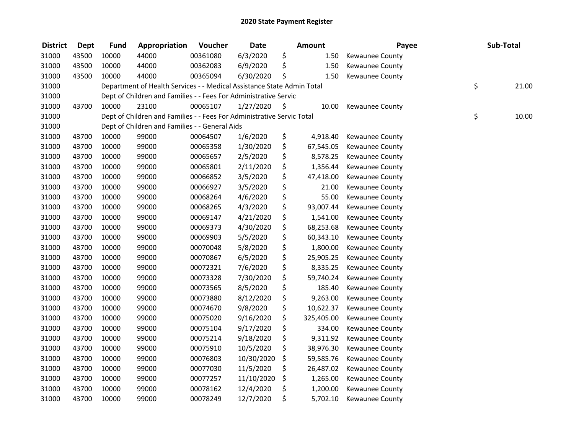| <b>District</b> | <b>Dept</b> | <b>Fund</b> | Appropriation                                                          | Voucher  | <b>Date</b> |      | <b>Amount</b> | Payee                  | Sub-Total   |
|-----------------|-------------|-------------|------------------------------------------------------------------------|----------|-------------|------|---------------|------------------------|-------------|
| 31000           | 43500       | 10000       | 44000                                                                  | 00361080 | 6/3/2020    | \$   | 1.50          | Kewaunee County        |             |
| 31000           | 43500       | 10000       | 44000                                                                  | 00362083 | 6/9/2020    | \$   | 1.50          | <b>Kewaunee County</b> |             |
| 31000           | 43500       | 10000       | 44000                                                                  | 00365094 | 6/30/2020   | \$   | 1.50          | Kewaunee County        |             |
| 31000           |             |             | Department of Health Services - - Medical Assistance State Admin Total |          |             |      |               |                        | \$<br>21.00 |
| 31000           |             |             | Dept of Children and Families - - Fees For Administrative Servic       |          |             |      |               |                        |             |
| 31000           | 43700       | 10000       | 23100                                                                  | 00065107 | 1/27/2020   | - \$ | 10.00         | Kewaunee County        |             |
| 31000           |             |             | Dept of Children and Families - - Fees For Administrative Servic Total |          |             |      |               |                        | \$<br>10.00 |
| 31000           |             |             | Dept of Children and Families - - General Aids                         |          |             |      |               |                        |             |
| 31000           | 43700       | 10000       | 99000                                                                  | 00064507 | 1/6/2020    | \$   | 4,918.40      | Kewaunee County        |             |
| 31000           | 43700       | 10000       | 99000                                                                  | 00065358 | 1/30/2020   | \$   | 67,545.05     | Kewaunee County        |             |
| 31000           | 43700       | 10000       | 99000                                                                  | 00065657 | 2/5/2020    | \$   | 8,578.25      | Kewaunee County        |             |
| 31000           | 43700       | 10000       | 99000                                                                  | 00065801 | 2/11/2020   | \$   | 1,356.44      | Kewaunee County        |             |
| 31000           | 43700       | 10000       | 99000                                                                  | 00066852 | 3/5/2020    | \$   | 47,418.00     | Kewaunee County        |             |
| 31000           | 43700       | 10000       | 99000                                                                  | 00066927 | 3/5/2020    | \$   | 21.00         | Kewaunee County        |             |
| 31000           | 43700       | 10000       | 99000                                                                  | 00068264 | 4/6/2020    | \$   | 55.00         | Kewaunee County        |             |
| 31000           | 43700       | 10000       | 99000                                                                  | 00068265 | 4/3/2020    | \$   | 93,007.44     | Kewaunee County        |             |
| 31000           | 43700       | 10000       | 99000                                                                  | 00069147 | 4/21/2020   | \$   | 1,541.00      | Kewaunee County        |             |
| 31000           | 43700       | 10000       | 99000                                                                  | 00069373 | 4/30/2020   | \$   | 68,253.68     | Kewaunee County        |             |
| 31000           | 43700       | 10000       | 99000                                                                  | 00069903 | 5/5/2020    | \$   | 60,343.10     | Kewaunee County        |             |
| 31000           | 43700       | 10000       | 99000                                                                  | 00070048 | 5/8/2020    | \$   | 1,800.00      | Kewaunee County        |             |
| 31000           | 43700       | 10000       | 99000                                                                  | 00070867 | 6/5/2020    | \$   | 25,905.25     | Kewaunee County        |             |
| 31000           | 43700       | 10000       | 99000                                                                  | 00072321 | 7/6/2020    | \$   | 8,335.25      | Kewaunee County        |             |
| 31000           | 43700       | 10000       | 99000                                                                  | 00073328 | 7/30/2020   | \$   | 59,740.24     | Kewaunee County        |             |
| 31000           | 43700       | 10000       | 99000                                                                  | 00073565 | 8/5/2020    | \$   | 185.40        | Kewaunee County        |             |
| 31000           | 43700       | 10000       | 99000                                                                  | 00073880 | 8/12/2020   | \$   | 9,263.00      | Kewaunee County        |             |
| 31000           | 43700       | 10000       | 99000                                                                  | 00074670 | 9/8/2020    | \$   | 10,622.37     | Kewaunee County        |             |
| 31000           | 43700       | 10000       | 99000                                                                  | 00075020 | 9/16/2020   | \$   | 325,405.00    | Kewaunee County        |             |
| 31000           | 43700       | 10000       | 99000                                                                  | 00075104 | 9/17/2020   | \$   | 334.00        | Kewaunee County        |             |
| 31000           | 43700       | 10000       | 99000                                                                  | 00075214 | 9/18/2020   | \$   | 9,311.92      | Kewaunee County        |             |
| 31000           | 43700       | 10000       | 99000                                                                  | 00075910 | 10/5/2020   | \$   | 38,976.30     | Kewaunee County        |             |
| 31000           | 43700       | 10000       | 99000                                                                  | 00076803 | 10/30/2020  | \$   | 59,585.76     | Kewaunee County        |             |
| 31000           | 43700       | 10000       | 99000                                                                  | 00077030 | 11/5/2020   | \$   | 26,487.02     | Kewaunee County        |             |
| 31000           | 43700       | 10000       | 99000                                                                  | 00077257 | 11/10/2020  | \$   | 1,265.00      | Kewaunee County        |             |
| 31000           | 43700       | 10000       | 99000                                                                  | 00078162 | 12/4/2020   | \$   | 1,200.00      | Kewaunee County        |             |
| 31000           | 43700       | 10000       | 99000                                                                  | 00078249 | 12/7/2020   | \$   | 5,702.10      | <b>Kewaunee County</b> |             |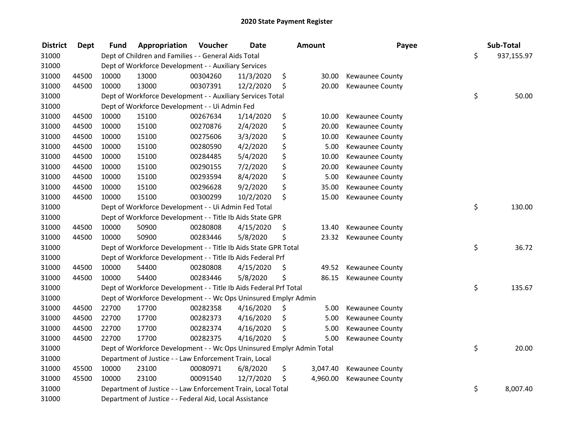| <b>District</b> | Dept  | Fund  | Appropriation                                                         | Voucher  | <b>Date</b> |     | <b>Amount</b> | Payee                  | Sub-Total        |
|-----------------|-------|-------|-----------------------------------------------------------------------|----------|-------------|-----|---------------|------------------------|------------------|
| 31000           |       |       | Dept of Children and Families - - General Aids Total                  |          |             |     |               |                        | \$<br>937,155.97 |
| 31000           |       |       | Dept of Workforce Development - - Auxiliary Services                  |          |             |     |               |                        |                  |
| 31000           | 44500 | 10000 | 13000                                                                 | 00304260 | 11/3/2020   | \$  | 30.00         | Kewaunee County        |                  |
| 31000           | 44500 | 10000 | 13000                                                                 | 00307391 | 12/2/2020   | \$  | 20.00         | Kewaunee County        |                  |
| 31000           |       |       | Dept of Workforce Development - - Auxiliary Services Total            |          |             |     |               |                        | \$<br>50.00      |
| 31000           |       |       | Dept of Workforce Development - - Ui Admin Fed                        |          |             |     |               |                        |                  |
| 31000           | 44500 | 10000 | 15100                                                                 | 00267634 | 1/14/2020   | \$  | 10.00         | Kewaunee County        |                  |
| 31000           | 44500 | 10000 | 15100                                                                 | 00270876 | 2/4/2020    | \$  | 20.00         | <b>Kewaunee County</b> |                  |
| 31000           | 44500 | 10000 | 15100                                                                 | 00275606 | 3/3/2020    | \$  | 10.00         | Kewaunee County        |                  |
| 31000           | 44500 | 10000 | 15100                                                                 | 00280590 | 4/2/2020    | \$  | 5.00          | Kewaunee County        |                  |
| 31000           | 44500 | 10000 | 15100                                                                 | 00284485 | 5/4/2020    | \$  | 10.00         | Kewaunee County        |                  |
| 31000           | 44500 | 10000 | 15100                                                                 | 00290155 | 7/2/2020    | \$  | 20.00         | Kewaunee County        |                  |
| 31000           | 44500 | 10000 | 15100                                                                 | 00293594 | 8/4/2020    | \$  | 5.00          | Kewaunee County        |                  |
| 31000           | 44500 | 10000 | 15100                                                                 | 00296628 | 9/2/2020    | \$  | 35.00         | Kewaunee County        |                  |
| 31000           | 44500 | 10000 | 15100                                                                 | 00300299 | 10/2/2020   | \$  | 15.00         | Kewaunee County        |                  |
| 31000           |       |       | Dept of Workforce Development - - Ui Admin Fed Total                  |          |             |     |               |                        | \$<br>130.00     |
| 31000           |       |       | Dept of Workforce Development - - Title Ib Aids State GPR             |          |             |     |               |                        |                  |
| 31000           | 44500 | 10000 | 50900                                                                 | 00280808 | 4/15/2020   | \$  | 13.40         | Kewaunee County        |                  |
| 31000           | 44500 | 10000 | 50900                                                                 | 00283446 | 5/8/2020    | \$  | 23.32         | Kewaunee County        |                  |
| 31000           |       |       | Dept of Workforce Development - - Title Ib Aids State GPR Total       |          |             |     |               |                        | \$<br>36.72      |
| 31000           |       |       | Dept of Workforce Development - - Title Ib Aids Federal Prf           |          |             |     |               |                        |                  |
| 31000           | 44500 | 10000 | 54400                                                                 | 00280808 | 4/15/2020   | \$  | 49.52         | Kewaunee County        |                  |
| 31000           | 44500 | 10000 | 54400                                                                 | 00283446 | 5/8/2020    | \$  | 86.15         | Kewaunee County        |                  |
| 31000           |       |       | Dept of Workforce Development - - Title Ib Aids Federal Prf Total     |          |             |     |               |                        | \$<br>135.67     |
| 31000           |       |       | Dept of Workforce Development - - Wc Ops Uninsured Emplyr Admin       |          |             |     |               |                        |                  |
| 31000           | 44500 | 22700 | 17700                                                                 | 00282358 | 4/16/2020   | \$. | 5.00          | Kewaunee County        |                  |
| 31000           | 44500 | 22700 | 17700                                                                 | 00282373 | 4/16/2020   | \$  | 5.00          | Kewaunee County        |                  |
| 31000           | 44500 | 22700 | 17700                                                                 | 00282374 | 4/16/2020   | \$  | 5.00          | Kewaunee County        |                  |
| 31000           | 44500 | 22700 | 17700                                                                 | 00282375 | 4/16/2020   | \$  | 5.00          | Kewaunee County        |                  |
| 31000           |       |       | Dept of Workforce Development - - Wc Ops Uninsured Emplyr Admin Total |          |             |     |               |                        | \$<br>20.00      |
| 31000           |       |       | Department of Justice - - Law Enforcement Train, Local                |          |             |     |               |                        |                  |
| 31000           | 45500 | 10000 | 23100                                                                 | 00080971 | 6/8/2020    | \$  | 3,047.40      | Kewaunee County        |                  |
| 31000           | 45500 | 10000 | 23100                                                                 | 00091540 | 12/7/2020   | \$  | 4,960.00      | Kewaunee County        |                  |
| 31000           |       |       | Department of Justice - - Law Enforcement Train, Local Total          |          |             |     |               |                        | \$<br>8,007.40   |
| 31000           |       |       | Department of Justice - - Federal Aid, Local Assistance               |          |             |     |               |                        |                  |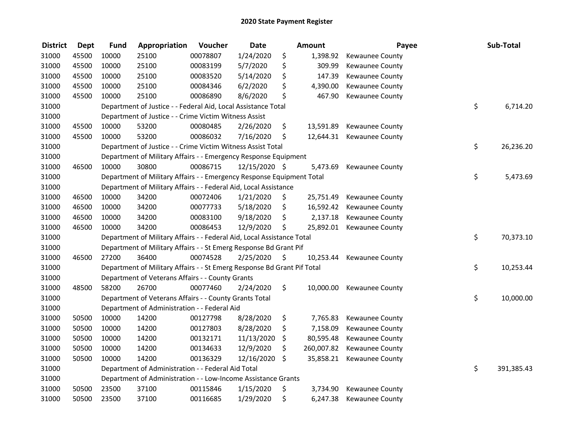| <b>District</b> | <b>Dept</b> | <b>Fund</b> | Appropriation                                                           | Voucher  | <b>Date</b>   | Amount           | Payee                     | Sub-Total        |
|-----------------|-------------|-------------|-------------------------------------------------------------------------|----------|---------------|------------------|---------------------------|------------------|
| 31000           | 45500       | 10000       | 25100                                                                   | 00078807 | 1/24/2020     | \$<br>1,398.92   | Kewaunee County           |                  |
| 31000           | 45500       | 10000       | 25100                                                                   | 00083199 | 5/7/2020      | \$<br>309.99     | Kewaunee County           |                  |
| 31000           | 45500       | 10000       | 25100                                                                   | 00083520 | 5/14/2020     | \$<br>147.39     | Kewaunee County           |                  |
| 31000           | 45500       | 10000       | 25100                                                                   | 00084346 | 6/2/2020      | \$<br>4,390.00   | Kewaunee County           |                  |
| 31000           | 45500       | 10000       | 25100                                                                   | 00086890 | 8/6/2020      | \$<br>467.90     | Kewaunee County           |                  |
| 31000           |             |             | Department of Justice - - Federal Aid, Local Assistance Total           |          |               |                  |                           | \$<br>6,714.20   |
| 31000           |             |             | Department of Justice - - Crime Victim Witness Assist                   |          |               |                  |                           |                  |
| 31000           | 45500       | 10000       | 53200                                                                   | 00080485 | 2/26/2020     | \$<br>13,591.89  | Kewaunee County           |                  |
| 31000           | 45500       | 10000       | 53200                                                                   | 00086032 | 7/16/2020     | \$               | 12,644.31 Kewaunee County |                  |
| 31000           |             |             | Department of Justice - - Crime Victim Witness Assist Total             |          |               |                  |                           | \$<br>26,236.20  |
| 31000           |             |             | Department of Military Affairs - - Emergency Response Equipment         |          |               |                  |                           |                  |
| 31000           | 46500       | 10000       | 30800                                                                   | 00086715 | 12/15/2020 \$ | 5,473.69         | Kewaunee County           |                  |
| 31000           |             |             | Department of Military Affairs - - Emergency Response Equipment Total   |          |               |                  |                           | \$<br>5,473.69   |
| 31000           |             |             | Department of Military Affairs - - Federal Aid, Local Assistance        |          |               |                  |                           |                  |
| 31000           | 46500       | 10000       | 34200                                                                   | 00072406 | 1/21/2020     | \$<br>25,751.49  | Kewaunee County           |                  |
| 31000           | 46500       | 10000       | 34200                                                                   | 00077733 | 5/18/2020     | \$               | 16,592.42 Kewaunee County |                  |
| 31000           | 46500       | 10000       | 34200                                                                   | 00083100 | 9/18/2020     | \$<br>2,137.18   | Kewaunee County           |                  |
| 31000           | 46500       | 10000       | 34200                                                                   | 00086453 | 12/9/2020     | \$<br>25,892.01  | Kewaunee County           |                  |
| 31000           |             |             | Department of Military Affairs - - Federal Aid, Local Assistance Total  |          |               |                  |                           | \$<br>70,373.10  |
| 31000           |             |             | Department of Military Affairs - - St Emerg Response Bd Grant Pif       |          |               |                  |                           |                  |
| 31000           | 46500       | 27200       | 36400                                                                   | 00074528 | 2/25/2020     | \$<br>10,253.44  | Kewaunee County           |                  |
| 31000           |             |             | Department of Military Affairs - - St Emerg Response Bd Grant Pif Total |          |               |                  |                           | \$<br>10,253.44  |
| 31000           |             |             | Department of Veterans Affairs - - County Grants                        |          |               |                  |                           |                  |
| 31000           | 48500       | 58200       | 26700                                                                   | 00077460 | 2/24/2020     | \$<br>10,000.00  | Kewaunee County           |                  |
| 31000           |             |             | Department of Veterans Affairs - - County Grants Total                  |          |               |                  |                           | \$<br>10,000.00  |
| 31000           |             |             | Department of Administration - - Federal Aid                            |          |               |                  |                           |                  |
| 31000           | 50500       | 10000       | 14200                                                                   | 00127798 | 8/28/2020     | \$<br>7,765.83   | Kewaunee County           |                  |
| 31000           | 50500       | 10000       | 14200                                                                   | 00127803 | 8/28/2020     | \$<br>7,158.09   | Kewaunee County           |                  |
| 31000           | 50500       | 10000       | 14200                                                                   | 00132171 | 11/13/2020    | \$<br>80,595.48  | Kewaunee County           |                  |
| 31000           | 50500       | 10000       | 14200                                                                   | 00134633 | 12/9/2020     | \$<br>260,007.82 | Kewaunee County           |                  |
| 31000           | 50500       | 10000       | 14200                                                                   | 00136329 | 12/16/2020    | \$<br>35,858.21  | Kewaunee County           |                  |
| 31000           |             |             | Department of Administration - - Federal Aid Total                      |          |               |                  |                           | \$<br>391,385.43 |
| 31000           |             |             | Department of Administration - - Low-Income Assistance Grants           |          |               |                  |                           |                  |
| 31000           | 50500       | 23500       | 37100                                                                   | 00115846 | 1/15/2020     | \$<br>3,734.90   | Kewaunee County           |                  |
| 31000           | 50500       | 23500       | 37100                                                                   | 00116685 | 1/29/2020     | \$<br>6,247.38   | <b>Kewaunee County</b>    |                  |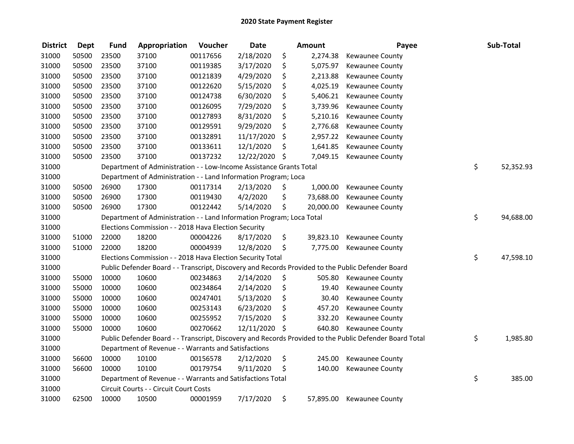| <b>District</b> | <b>Dept</b> | <b>Fund</b> | Appropriation                                                         | Voucher  | <b>Date</b>   | <b>Amount</b>   | Payee                                                                                                   | Sub-Total       |
|-----------------|-------------|-------------|-----------------------------------------------------------------------|----------|---------------|-----------------|---------------------------------------------------------------------------------------------------------|-----------------|
| 31000           | 50500       | 23500       | 37100                                                                 | 00117656 | 2/18/2020     | \$<br>2,274.38  | Kewaunee County                                                                                         |                 |
| 31000           | 50500       | 23500       | 37100                                                                 | 00119385 | 3/17/2020     | \$<br>5,075.97  | <b>Kewaunee County</b>                                                                                  |                 |
| 31000           | 50500       | 23500       | 37100                                                                 | 00121839 | 4/29/2020     | \$<br>2,213.88  | Kewaunee County                                                                                         |                 |
| 31000           | 50500       | 23500       | 37100                                                                 | 00122620 | 5/15/2020     | \$<br>4,025.19  | Kewaunee County                                                                                         |                 |
| 31000           | 50500       | 23500       | 37100                                                                 | 00124738 | 6/30/2020     | \$<br>5,406.21  | Kewaunee County                                                                                         |                 |
| 31000           | 50500       | 23500       | 37100                                                                 | 00126095 | 7/29/2020     | \$<br>3,739.96  | <b>Kewaunee County</b>                                                                                  |                 |
| 31000           | 50500       | 23500       | 37100                                                                 | 00127893 | 8/31/2020     | \$<br>5,210.16  | Kewaunee County                                                                                         |                 |
| 31000           | 50500       | 23500       | 37100                                                                 | 00129591 | 9/29/2020     | \$<br>2,776.68  | Kewaunee County                                                                                         |                 |
| 31000           | 50500       | 23500       | 37100                                                                 | 00132891 | 11/17/2020    | \$<br>2,957.22  | Kewaunee County                                                                                         |                 |
| 31000           | 50500       | 23500       | 37100                                                                 | 00133611 | 12/1/2020     | \$<br>1,641.85  | Kewaunee County                                                                                         |                 |
| 31000           | 50500       | 23500       | 37100                                                                 | 00137232 | 12/22/2020    | \$<br>7,049.15  | Kewaunee County                                                                                         |                 |
| 31000           |             |             | Department of Administration - - Low-Income Assistance Grants Total   |          |               |                 |                                                                                                         | \$<br>52,352.93 |
| 31000           |             |             | Department of Administration - - Land Information Program; Loca       |          |               |                 |                                                                                                         |                 |
| 31000           | 50500       | 26900       | 17300                                                                 | 00117314 | 2/13/2020     | \$<br>1,000.00  | <b>Kewaunee County</b>                                                                                  |                 |
| 31000           | 50500       | 26900       | 17300                                                                 | 00119430 | 4/2/2020      | \$<br>73,688.00 | Kewaunee County                                                                                         |                 |
| 31000           | 50500       | 26900       | 17300                                                                 | 00122442 | 5/14/2020     | \$<br>20,000.00 | Kewaunee County                                                                                         |                 |
| 31000           |             |             | Department of Administration - - Land Information Program; Loca Total |          |               |                 |                                                                                                         | \$<br>94,688.00 |
| 31000           |             |             | Elections Commission - - 2018 Hava Election Security                  |          |               |                 |                                                                                                         |                 |
| 31000           | 51000       | 22000       | 18200                                                                 | 00004226 | 8/17/2020     | \$<br>39,823.10 | Kewaunee County                                                                                         |                 |
| 31000           | 51000       | 22000       | 18200                                                                 | 00004939 | 12/8/2020     | \$<br>7,775.00  | Kewaunee County                                                                                         |                 |
| 31000           |             |             | Elections Commission - - 2018 Hava Election Security Total            |          |               |                 |                                                                                                         | \$<br>47,598.10 |
| 31000           |             |             |                                                                       |          |               |                 | Public Defender Board - - Transcript, Discovery and Records Provided to the Public Defender Board       |                 |
| 31000           | 55000       | 10000       | 10600                                                                 | 00234863 | 2/14/2020     | \$<br>505.80    | Kewaunee County                                                                                         |                 |
| 31000           | 55000       | 10000       | 10600                                                                 | 00234864 | 2/14/2020     | \$<br>19.40     | Kewaunee County                                                                                         |                 |
| 31000           | 55000       | 10000       | 10600                                                                 | 00247401 | 5/13/2020     | \$<br>30.40     | Kewaunee County                                                                                         |                 |
| 31000           | 55000       | 10000       | 10600                                                                 | 00253143 | 6/23/2020     | \$<br>457.20    | Kewaunee County                                                                                         |                 |
| 31000           | 55000       | 10000       | 10600                                                                 | 00255952 | 7/15/2020     | \$<br>332.20    | Kewaunee County                                                                                         |                 |
| 31000           | 55000       | 10000       | 10600                                                                 | 00270662 | 12/11/2020 \$ | 640.80          | <b>Kewaunee County</b>                                                                                  |                 |
| 31000           |             |             |                                                                       |          |               |                 | Public Defender Board - - Transcript, Discovery and Records Provided to the Public Defender Board Total | \$<br>1,985.80  |
| 31000           |             |             | Department of Revenue - - Warrants and Satisfactions                  |          |               |                 |                                                                                                         |                 |
| 31000           | 56600       | 10000       | 10100                                                                 | 00156578 | 2/12/2020     | \$<br>245.00    | Kewaunee County                                                                                         |                 |
| 31000           | 56600       | 10000       | 10100                                                                 | 00179754 | 9/11/2020     | \$<br>140.00    | Kewaunee County                                                                                         |                 |
| 31000           |             |             | Department of Revenue - - Warrants and Satisfactions Total            |          |               |                 |                                                                                                         | \$<br>385.00    |
| 31000           |             |             | Circuit Courts - - Circuit Court Costs                                |          |               |                 |                                                                                                         |                 |
| 31000           | 62500       | 10000       | 10500                                                                 | 00001959 | 7/17/2020     | \$<br>57,895.00 | <b>Kewaunee County</b>                                                                                  |                 |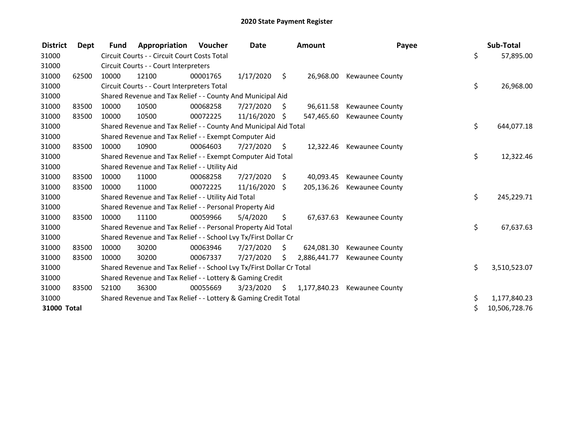| <b>District</b> | Dept  | <b>Fund</b> | Appropriation                                                         | Voucher  | <b>Date</b>   |      | <b>Amount</b> | Payee                  |    | Sub-Total     |
|-----------------|-------|-------------|-----------------------------------------------------------------------|----------|---------------|------|---------------|------------------------|----|---------------|
| 31000           |       |             | Circuit Courts - - Circuit Court Costs Total                          |          |               |      |               |                        | \$ | 57,895.00     |
| 31000           |       |             | Circuit Courts - - Court Interpreters                                 |          |               |      |               |                        |    |               |
| 31000           | 62500 | 10000       | 12100                                                                 | 00001765 | 1/17/2020     | \$   | 26,968.00     | <b>Kewaunee County</b> |    |               |
| 31000           |       |             | Circuit Courts - - Court Interpreters Total                           |          |               |      |               |                        | \$ | 26,968.00     |
| 31000           |       |             | Shared Revenue and Tax Relief - - County And Municipal Aid            |          |               |      |               |                        |    |               |
| 31000           | 83500 | 10000       | 10500                                                                 | 00068258 | 7/27/2020     | \$.  | 96,611.58     | <b>Kewaunee County</b> |    |               |
| 31000           | 83500 | 10000       | 10500                                                                 | 00072225 | 11/16/2020 \$ |      | 547,465.60    | Kewaunee County        |    |               |
| 31000           |       |             | Shared Revenue and Tax Relief - - County And Municipal Aid Total      |          |               |      |               |                        | \$ | 644,077.18    |
| 31000           |       |             | Shared Revenue and Tax Relief - - Exempt Computer Aid                 |          |               |      |               |                        |    |               |
| 31000           | 83500 | 10000       | 10900                                                                 | 00064603 | 7/27/2020     | S.   | 12,322.46     | <b>Kewaunee County</b> |    |               |
| 31000           |       |             | Shared Revenue and Tax Relief - - Exempt Computer Aid Total           |          |               |      |               |                        | \$ | 12,322.46     |
| 31000           |       |             | Shared Revenue and Tax Relief - - Utility Aid                         |          |               |      |               |                        |    |               |
| 31000           | 83500 | 10000       | 11000                                                                 | 00068258 | 7/27/2020     | S    | 40,093.45     | Kewaunee County        |    |               |
| 31000           | 83500 | 10000       | 11000                                                                 | 00072225 | 11/16/2020    | \$   | 205,136.26    | Kewaunee County        |    |               |
| 31000           |       |             | Shared Revenue and Tax Relief - - Utility Aid Total                   |          |               |      |               |                        | \$ | 245,229.71    |
| 31000           |       |             | Shared Revenue and Tax Relief - - Personal Property Aid               |          |               |      |               |                        |    |               |
| 31000           | 83500 | 10000       | 11100                                                                 | 00059966 | 5/4/2020      | S.   | 67,637.63     | <b>Kewaunee County</b> |    |               |
| 31000           |       |             | Shared Revenue and Tax Relief - - Personal Property Aid Total         |          |               |      |               |                        | \$ | 67,637.63     |
| 31000           |       |             | Shared Revenue and Tax Relief - - School Lvy Tx/First Dollar Cr       |          |               |      |               |                        |    |               |
| 31000           | 83500 | 10000       | 30200                                                                 | 00063946 | 7/27/2020     | Ŝ.   | 624,081.30    | <b>Kewaunee County</b> |    |               |
| 31000           | 83500 | 10000       | 30200                                                                 | 00067337 | 7/27/2020     | \$   | 2,886,441.77  | <b>Kewaunee County</b> |    |               |
| 31000           |       |             | Shared Revenue and Tax Relief - - School Lvy Tx/First Dollar Cr Total |          |               |      |               |                        | \$ | 3,510,523.07  |
| 31000           |       |             | Shared Revenue and Tax Relief - - Lottery & Gaming Credit             |          |               |      |               |                        |    |               |
| 31000           | 83500 | 52100       | 36300                                                                 | 00055669 | 3/23/2020     | - \$ | 1,177,840.23  | <b>Kewaunee County</b> |    |               |
| 31000           |       |             | Shared Revenue and Tax Relief - - Lottery & Gaming Credit Total       |          |               |      |               |                        | \$ | 1,177,840.23  |
| 31000 Total     |       |             |                                                                       |          |               |      |               |                        | Ś  | 10,506,728.76 |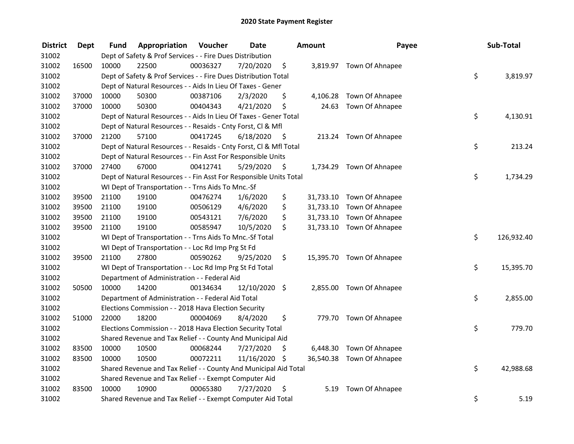| <b>District</b> | <b>Dept</b> | Fund  | Appropriation                                                      | Voucher  | <b>Date</b>   |      | Amount | Payee                     | Sub-Total        |
|-----------------|-------------|-------|--------------------------------------------------------------------|----------|---------------|------|--------|---------------------------|------------------|
| 31002           |             |       | Dept of Safety & Prof Services - - Fire Dues Distribution          |          |               |      |        |                           |                  |
| 31002           | 16500       | 10000 | 22500                                                              | 00036327 | 7/20/2020     | \$   |        | 3,819.97 Town Of Ahnapee  |                  |
| 31002           |             |       | Dept of Safety & Prof Services - - Fire Dues Distribution Total    |          |               |      |        |                           | \$<br>3,819.97   |
| 31002           |             |       | Dept of Natural Resources - - Aids In Lieu Of Taxes - Gener        |          |               |      |        |                           |                  |
| 31002           | 37000       | 10000 | 50300                                                              | 00387106 | 2/3/2020      | \$   |        | 4,106.28 Town Of Ahnapee  |                  |
| 31002           | 37000       | 10000 | 50300                                                              | 00404343 | 4/21/2020     | \$   |        | 24.63 Town Of Ahnapee     |                  |
| 31002           |             |       | Dept of Natural Resources - - Aids In Lieu Of Taxes - Gener Total  |          |               |      |        |                           | \$<br>4,130.91   |
| 31002           |             |       | Dept of Natural Resources - - Resaids - Cnty Forst, CI & Mfl       |          |               |      |        |                           |                  |
| 31002           | 37000       | 21200 | 57100                                                              | 00417245 | 6/18/2020     | - \$ |        | 213.24 Town Of Ahnapee    |                  |
| 31002           |             |       | Dept of Natural Resources - - Resaids - Cnty Forst, Cl & Mfl Total |          |               |      |        |                           | \$<br>213.24     |
| 31002           |             |       | Dept of Natural Resources - - Fin Asst For Responsible Units       |          |               |      |        |                           |                  |
| 31002           | 37000       | 27400 | 67000                                                              | 00412741 | 5/29/2020     | -\$  |        | 1,734.29 Town Of Ahnapee  |                  |
| 31002           |             |       | Dept of Natural Resources - - Fin Asst For Responsible Units Total |          |               |      |        |                           | \$<br>1,734.29   |
| 31002           |             |       | WI Dept of Transportation - - Trns Aids To Mnc.-Sf                 |          |               |      |        |                           |                  |
| 31002           | 39500       | 21100 | 19100                                                              | 00476274 | 1/6/2020      | \$   |        | 31,733.10 Town Of Ahnapee |                  |
| 31002           | 39500       | 21100 | 19100                                                              | 00506129 | 4/6/2020      | \$   |        | 31,733.10 Town Of Ahnapee |                  |
| 31002           | 39500       | 21100 | 19100                                                              | 00543121 | 7/6/2020      | \$   |        | 31,733.10 Town Of Ahnapee |                  |
| 31002           | 39500       | 21100 | 19100                                                              | 00585947 | 10/5/2020     | \$   |        | 31,733.10 Town Of Ahnapee |                  |
| 31002           |             |       | WI Dept of Transportation - - Trns Aids To Mnc.-Sf Total           |          |               |      |        |                           | \$<br>126,932.40 |
| 31002           |             |       | WI Dept of Transportation - - Loc Rd Imp Prg St Fd                 |          |               |      |        |                           |                  |
| 31002           | 39500       | 21100 | 27800                                                              | 00590262 | 9/25/2020     | \$   |        | 15,395.70 Town Of Ahnapee |                  |
| 31002           |             |       | WI Dept of Transportation - - Loc Rd Imp Prg St Fd Total           |          |               |      |        |                           | \$<br>15,395.70  |
| 31002           |             |       | Department of Administration - - Federal Aid                       |          |               |      |        |                           |                  |
| 31002           | 50500       | 10000 | 14200                                                              | 00134634 | 12/10/2020 \$ |      |        | 2,855.00 Town Of Ahnapee  |                  |
| 31002           |             |       | Department of Administration - - Federal Aid Total                 |          |               |      |        |                           | \$<br>2,855.00   |
| 31002           |             |       | Elections Commission - - 2018 Hava Election Security               |          |               |      |        |                           |                  |
| 31002           | 51000       | 22000 | 18200                                                              | 00004069 | 8/4/2020      | \$   |        | 779.70 Town Of Ahnapee    |                  |
| 31002           |             |       | Elections Commission - - 2018 Hava Election Security Total         |          |               |      |        |                           | \$<br>779.70     |
| 31002           |             |       | Shared Revenue and Tax Relief - - County And Municipal Aid         |          |               |      |        |                           |                  |
| 31002           | 83500       | 10000 | 10500                                                              | 00068244 | 7/27/2020     | \$   |        | 6,448.30 Town Of Ahnapee  |                  |
| 31002           | 83500       | 10000 | 10500                                                              | 00072211 | 11/16/2020 \$ |      |        | 36,540.38 Town Of Ahnapee |                  |
| 31002           |             |       | Shared Revenue and Tax Relief - - County And Municipal Aid Total   |          |               |      |        |                           | \$<br>42,988.68  |
| 31002           |             |       | Shared Revenue and Tax Relief - - Exempt Computer Aid              |          |               |      |        |                           |                  |
| 31002           | 83500       | 10000 | 10900                                                              | 00065380 | 7/27/2020     | \$   | 5.19   | Town Of Ahnapee           |                  |
| 31002           |             |       | Shared Revenue and Tax Relief - - Exempt Computer Aid Total        |          |               |      |        |                           | \$<br>5.19       |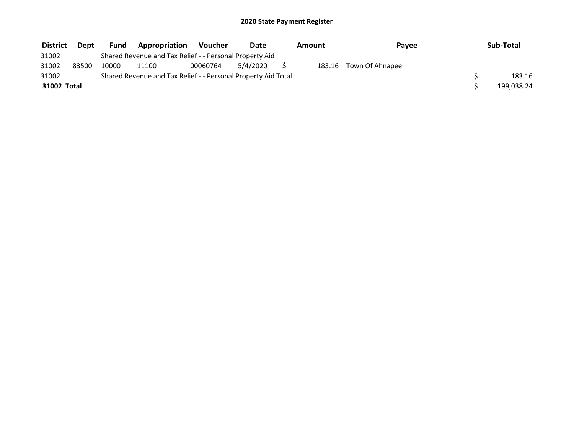| <b>District</b> | Dept  | Fund  | Appropriation                                                 | <b>Voucher</b> | <b>Date</b> | Amount | Pavee           | Sub-Total  |
|-----------------|-------|-------|---------------------------------------------------------------|----------------|-------------|--------|-----------------|------------|
| 31002           |       |       | Shared Revenue and Tax Relief - - Personal Property Aid       |                |             |        |                 |            |
| 31002           | 83500 | 10000 | 11100                                                         | 00060764       | 5/4/2020    | 183.16 | Town Of Ahnapee |            |
| 31002           |       |       | Shared Revenue and Tax Relief - - Personal Property Aid Total |                |             |        |                 | 183.16     |
| 31002 Total     |       |       |                                                               |                |             |        |                 | 199,038.24 |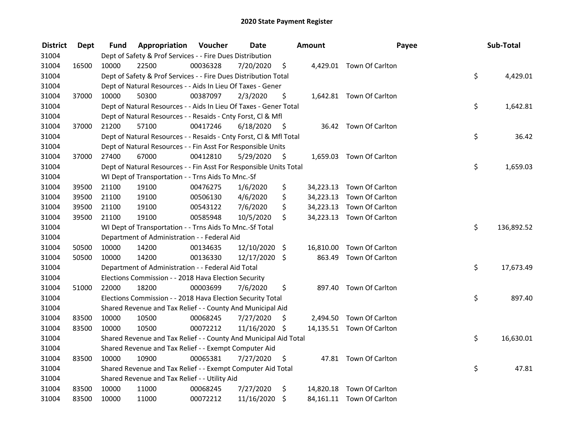| <b>District</b> | <b>Dept</b> | Fund  | Appropriation                                                      | Voucher  | <b>Date</b>   |      | Amount | Payee                     | Sub-Total        |
|-----------------|-------------|-------|--------------------------------------------------------------------|----------|---------------|------|--------|---------------------------|------------------|
| 31004           |             |       | Dept of Safety & Prof Services - - Fire Dues Distribution          |          |               |      |        |                           |                  |
| 31004           | 16500       | 10000 | 22500                                                              | 00036328 | 7/20/2020     | \$   |        | 4,429.01 Town Of Carlton  |                  |
| 31004           |             |       | Dept of Safety & Prof Services - - Fire Dues Distribution Total    |          |               |      |        |                           | \$<br>4,429.01   |
| 31004           |             |       | Dept of Natural Resources - - Aids In Lieu Of Taxes - Gener        |          |               |      |        |                           |                  |
| 31004           | 37000       | 10000 | 50300                                                              | 00387097 | 2/3/2020      | \$   |        | 1,642.81 Town Of Carlton  |                  |
| 31004           |             |       | Dept of Natural Resources - - Aids In Lieu Of Taxes - Gener Total  |          |               |      |        |                           | \$<br>1,642.81   |
| 31004           |             |       | Dept of Natural Resources - - Resaids - Cnty Forst, CI & Mfl       |          |               |      |        |                           |                  |
| 31004           | 37000       | 21200 | 57100                                                              | 00417246 | 6/18/2020     | - \$ |        | 36.42 Town Of Carlton     |                  |
| 31004           |             |       | Dept of Natural Resources - - Resaids - Cnty Forst, Cl & Mfl Total |          |               |      |        |                           | \$<br>36.42      |
| 31004           |             |       | Dept of Natural Resources - - Fin Asst For Responsible Units       |          |               |      |        |                           |                  |
| 31004           | 37000       | 27400 | 67000                                                              | 00412810 | 5/29/2020     | - \$ |        | 1,659.03 Town Of Carlton  |                  |
| 31004           |             |       | Dept of Natural Resources - - Fin Asst For Responsible Units Total |          |               |      |        |                           | \$<br>1,659.03   |
| 31004           |             |       | WI Dept of Transportation - - Trns Aids To Mnc.-Sf                 |          |               |      |        |                           |                  |
| 31004           | 39500       | 21100 | 19100                                                              | 00476275 | 1/6/2020      | \$   |        | 34,223.13 Town Of Carlton |                  |
| 31004           | 39500       | 21100 | 19100                                                              | 00506130 | 4/6/2020      | \$   |        | 34,223.13 Town Of Carlton |                  |
| 31004           | 39500       | 21100 | 19100                                                              | 00543122 | 7/6/2020      | \$   |        | 34,223.13 Town Of Carlton |                  |
| 31004           | 39500       | 21100 | 19100                                                              | 00585948 | 10/5/2020     | \$   |        | 34,223.13 Town Of Carlton |                  |
| 31004           |             |       | WI Dept of Transportation - - Trns Aids To Mnc.-Sf Total           |          |               |      |        |                           | \$<br>136,892.52 |
| 31004           |             |       | Department of Administration - - Federal Aid                       |          |               |      |        |                           |                  |
| 31004           | 50500       | 10000 | 14200                                                              | 00134635 | 12/10/2020 \$ |      |        | 16,810.00 Town Of Carlton |                  |
| 31004           | 50500       | 10000 | 14200                                                              | 00136330 | 12/17/2020 \$ |      | 863.49 | Town Of Carlton           |                  |
| 31004           |             |       | Department of Administration - - Federal Aid Total                 |          |               |      |        |                           | \$<br>17,673.49  |
| 31004           |             |       | Elections Commission - - 2018 Hava Election Security               |          |               |      |        |                           |                  |
| 31004           | 51000       | 22000 | 18200                                                              | 00003699 | 7/6/2020      | \$   |        | 897.40 Town Of Carlton    |                  |
| 31004           |             |       | Elections Commission - - 2018 Hava Election Security Total         |          |               |      |        |                           | \$<br>897.40     |
| 31004           |             |       | Shared Revenue and Tax Relief - - County And Municipal Aid         |          |               |      |        |                           |                  |
| 31004           | 83500       | 10000 | 10500                                                              | 00068245 | 7/27/2020     | \$   |        | 2,494.50 Town Of Carlton  |                  |
| 31004           | 83500       | 10000 | 10500                                                              | 00072212 | 11/16/2020 \$ |      |        | 14,135.51 Town Of Carlton |                  |
| 31004           |             |       | Shared Revenue and Tax Relief - - County And Municipal Aid Total   |          |               |      |        |                           | \$<br>16,630.01  |
| 31004           |             |       | Shared Revenue and Tax Relief - - Exempt Computer Aid              |          |               |      |        |                           |                  |
| 31004           | 83500       | 10000 | 10900                                                              | 00065381 | 7/27/2020     | \$   |        | 47.81 Town Of Carlton     |                  |
| 31004           |             |       | Shared Revenue and Tax Relief - - Exempt Computer Aid Total        |          |               |      |        |                           | \$<br>47.81      |
| 31004           |             |       | Shared Revenue and Tax Relief - - Utility Aid                      |          |               |      |        |                           |                  |
| 31004           | 83500       | 10000 | 11000                                                              | 00068245 | 7/27/2020     | \$   |        | 14,820.18 Town Of Carlton |                  |
| 31004           | 83500       | 10000 | 11000                                                              | 00072212 | 11/16/2020    | \$   |        | 84,161.11 Town Of Carlton |                  |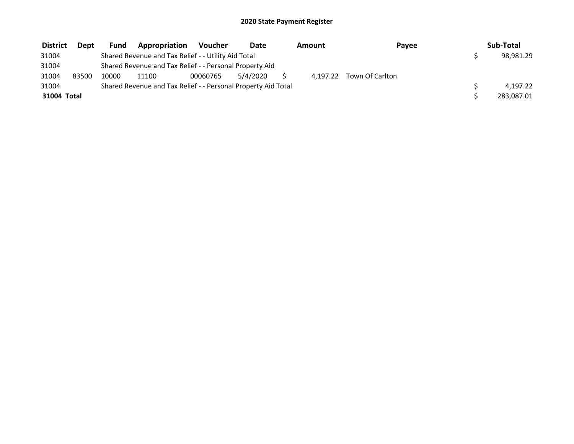| <b>District</b> | <b>Dept</b> | Fund  | Appropriation                                                 | Voucher  | <b>Date</b> | Amount |                          | Payee | Sub-Total  |
|-----------------|-------------|-------|---------------------------------------------------------------|----------|-------------|--------|--------------------------|-------|------------|
| 31004           |             |       | Shared Revenue and Tax Relief - - Utility Aid Total           |          |             |        |                          |       | 98,981.29  |
| 31004           |             |       | Shared Revenue and Tax Relief - - Personal Property Aid       |          |             |        |                          |       |            |
| 31004           | 83500       | 10000 | 11100                                                         | 00060765 | 5/4/2020    |        | 4.197.22 Town Of Carlton |       |            |
| 31004           |             |       | Shared Revenue and Tax Relief - - Personal Property Aid Total |          |             |        |                          |       | 4.197.22   |
| 31004 Total     |             |       |                                                               |          |             |        |                          |       | 283,087.01 |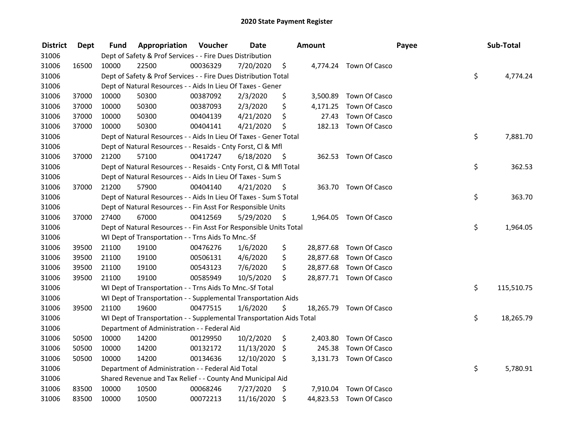| <b>District</b> | <b>Dept</b> | Fund  | Appropriation                                                        | Voucher  | <b>Date</b> |      | <b>Amount</b> |                         | Payee | Sub-Total        |
|-----------------|-------------|-------|----------------------------------------------------------------------|----------|-------------|------|---------------|-------------------------|-------|------------------|
| 31006           |             |       | Dept of Safety & Prof Services - - Fire Dues Distribution            |          |             |      |               |                         |       |                  |
| 31006           | 16500       | 10000 | 22500                                                                | 00036329 | 7/20/2020   | \$   |               | 4,774.24 Town Of Casco  |       |                  |
| 31006           |             |       | Dept of Safety & Prof Services - - Fire Dues Distribution Total      |          |             |      |               |                         |       | \$<br>4,774.24   |
| 31006           |             |       | Dept of Natural Resources - - Aids In Lieu Of Taxes - Gener          |          |             |      |               |                         |       |                  |
| 31006           | 37000       | 10000 | 50300                                                                | 00387092 | 2/3/2020    | \$   | 3,500.89      | Town Of Casco           |       |                  |
| 31006           | 37000       | 10000 | 50300                                                                | 00387093 | 2/3/2020    | \$   | 4,171.25      | Town Of Casco           |       |                  |
| 31006           | 37000       | 10000 | 50300                                                                | 00404139 | 4/21/2020   | \$   | 27.43         | Town Of Casco           |       |                  |
| 31006           | 37000       | 10000 | 50300                                                                | 00404141 | 4/21/2020   | \$   |               | 182.13 Town Of Casco    |       |                  |
| 31006           |             |       | Dept of Natural Resources - - Aids In Lieu Of Taxes - Gener Total    |          |             |      |               |                         |       | \$<br>7,881.70   |
| 31006           |             |       | Dept of Natural Resources - - Resaids - Cnty Forst, Cl & Mfl         |          |             |      |               |                         |       |                  |
| 31006           | 37000       | 21200 | 57100                                                                | 00417247 | 6/18/2020   | - \$ |               | 362.53 Town Of Casco    |       |                  |
| 31006           |             |       | Dept of Natural Resources - - Resaids - Cnty Forst, Cl & Mfl Total   |          |             |      |               |                         |       | \$<br>362.53     |
| 31006           |             |       | Dept of Natural Resources - - Aids In Lieu Of Taxes - Sum S          |          |             |      |               |                         |       |                  |
| 31006           | 37000       | 21200 | 57900                                                                | 00404140 | 4/21/2020   | - \$ |               | 363.70 Town Of Casco    |       |                  |
| 31006           |             |       | Dept of Natural Resources - - Aids In Lieu Of Taxes - Sum S Total    |          |             |      |               |                         |       | \$<br>363.70     |
| 31006           |             |       | Dept of Natural Resources - - Fin Asst For Responsible Units         |          |             |      |               |                         |       |                  |
| 31006           | 37000       | 27400 | 67000                                                                | 00412569 | 5/29/2020   | \$   | 1,964.05      | Town Of Casco           |       |                  |
| 31006           |             |       | Dept of Natural Resources - - Fin Asst For Responsible Units Total   |          |             |      |               |                         |       | \$<br>1,964.05   |
| 31006           |             |       | WI Dept of Transportation - - Trns Aids To Mnc.-Sf                   |          |             |      |               |                         |       |                  |
| 31006           | 39500       | 21100 | 19100                                                                | 00476276 | 1/6/2020    | \$   |               | 28,877.68 Town Of Casco |       |                  |
| 31006           | 39500       | 21100 | 19100                                                                | 00506131 | 4/6/2020    | \$   |               | 28,877.68 Town Of Casco |       |                  |
| 31006           | 39500       | 21100 | 19100                                                                | 00543123 | 7/6/2020    | \$   |               | 28,877.68 Town Of Casco |       |                  |
| 31006           | 39500       | 21100 | 19100                                                                | 00585949 | 10/5/2020   | \$   |               | 28,877.71 Town Of Casco |       |                  |
| 31006           |             |       | WI Dept of Transportation - - Trns Aids To Mnc.-Sf Total             |          |             |      |               |                         |       | \$<br>115,510.75 |
| 31006           |             |       | WI Dept of Transportation - - Supplemental Transportation Aids       |          |             |      |               |                         |       |                  |
| 31006           | 39500       | 21100 | 19600                                                                | 00477515 | 1/6/2020    | \$   |               | 18,265.79 Town Of Casco |       |                  |
| 31006           |             |       | WI Dept of Transportation - - Supplemental Transportation Aids Total |          |             |      |               |                         |       | \$<br>18,265.79  |
| 31006           |             |       | Department of Administration - - Federal Aid                         |          |             |      |               |                         |       |                  |
| 31006           | 50500       | 10000 | 14200                                                                | 00129950 | 10/2/2020   | \$   | 2,403.80      | Town Of Casco           |       |                  |
| 31006           | 50500       | 10000 | 14200                                                                | 00132172 | 11/13/2020  | \$   | 245.38        | Town Of Casco           |       |                  |
| 31006           | 50500       | 10000 | 14200                                                                | 00134636 | 12/10/2020  | -\$  |               | 3,131.73 Town Of Casco  |       |                  |
| 31006           |             |       | Department of Administration - - Federal Aid Total                   |          |             |      |               |                         |       | \$<br>5,780.91   |
| 31006           |             |       | Shared Revenue and Tax Relief - - County And Municipal Aid           |          |             |      |               |                         |       |                  |
| 31006           | 83500       | 10000 | 10500                                                                | 00068246 | 7/27/2020   | \$   | 7,910.04      | Town Of Casco           |       |                  |
| 31006           | 83500       | 10000 | 10500                                                                | 00072213 | 11/16/2020  | \$   | 44,823.53     | Town Of Casco           |       |                  |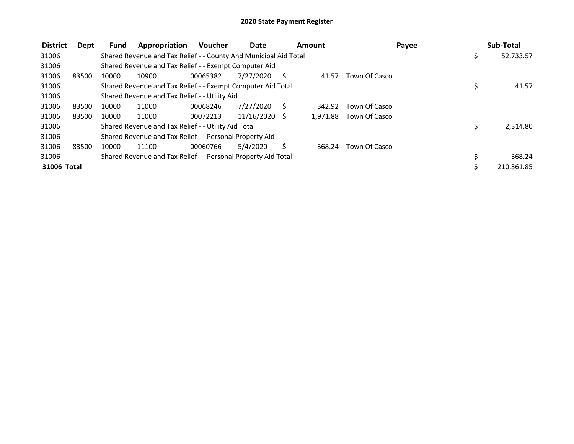| <b>District</b> | Dept  | <b>Fund</b> | Appropriation                                                    | <b>Voucher</b> | Date            |     | Amount   |               | Payee | Sub-Total  |
|-----------------|-------|-------------|------------------------------------------------------------------|----------------|-----------------|-----|----------|---------------|-------|------------|
| 31006           |       |             | Shared Revenue and Tax Relief - - County And Municipal Aid Total |                |                 |     |          |               | \$    | 52,733.57  |
| 31006           |       |             | Shared Revenue and Tax Relief - - Exempt Computer Aid            |                |                 |     |          |               |       |            |
| 31006           | 83500 | 10000       | 10900                                                            | 00065382       | 7/27/2020       | - S | 41.57    | Town Of Casco |       |            |
| 31006           |       |             | Shared Revenue and Tax Relief - - Exempt Computer Aid Total      |                |                 |     |          |               | \$    | 41.57      |
| 31006           |       |             | Shared Revenue and Tax Relief - - Utility Aid                    |                |                 |     |          |               |       |            |
| 31006           | 83500 | 10000       | 11000                                                            | 00068246       | 7/27/2020       | S   | 342.92   | Town Of Casco |       |            |
| 31006           | 83500 | 10000       | 11000                                                            | 00072213       | $11/16/2020$ \$ |     | 1.971.88 | Town Of Casco |       |            |
| 31006           |       |             | Shared Revenue and Tax Relief - - Utility Aid Total              |                |                 |     |          |               | \$    | 2,314.80   |
| 31006           |       |             | Shared Revenue and Tax Relief - - Personal Property Aid          |                |                 |     |          |               |       |            |
| 31006           | 83500 | 10000       | 11100                                                            | 00060766       | 5/4/2020        | Ś   | 368.24   | Town Of Casco |       |            |
| 31006           |       |             | Shared Revenue and Tax Relief - - Personal Property Aid Total    |                |                 |     |          |               |       | 368.24     |
| 31006 Total     |       |             |                                                                  |                |                 |     |          |               |       | 210,361.85 |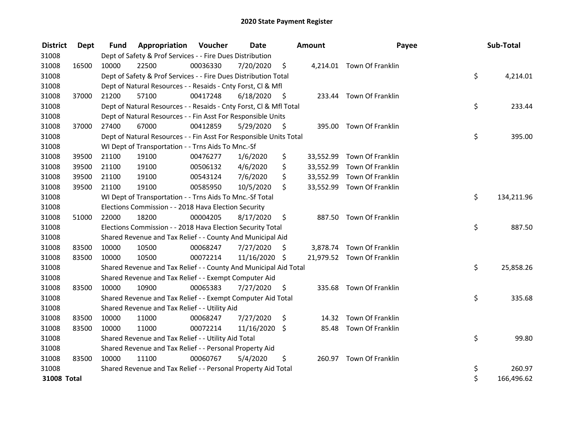| <b>District</b> | Dept  | <b>Fund</b> | Appropriation                                                      | Voucher  | <b>Date</b>   |      | Amount    | Payee                      | Sub-Total        |
|-----------------|-------|-------------|--------------------------------------------------------------------|----------|---------------|------|-----------|----------------------------|------------------|
| 31008           |       |             | Dept of Safety & Prof Services - - Fire Dues Distribution          |          |               |      |           |                            |                  |
| 31008           | 16500 | 10000       | 22500                                                              | 00036330 | 7/20/2020     | \$   |           | 4,214.01 Town Of Franklin  |                  |
| 31008           |       |             | Dept of Safety & Prof Services - - Fire Dues Distribution Total    |          |               |      |           |                            | \$<br>4,214.01   |
| 31008           |       |             | Dept of Natural Resources - - Resaids - Cnty Forst, Cl & Mfl       |          |               |      |           |                            |                  |
| 31008           | 37000 | 21200       | 57100                                                              | 00417248 | 6/18/2020     | - \$ |           | 233.44 Town Of Franklin    |                  |
| 31008           |       |             | Dept of Natural Resources - - Resaids - Cnty Forst, Cl & Mfl Total |          |               |      |           |                            | \$<br>233.44     |
| 31008           |       |             | Dept of Natural Resources - - Fin Asst For Responsible Units       |          |               |      |           |                            |                  |
| 31008           | 37000 | 27400       | 67000                                                              | 00412859 | 5/29/2020     | - \$ |           | 395.00 Town Of Franklin    |                  |
| 31008           |       |             | Dept of Natural Resources - - Fin Asst For Responsible Units Total |          |               |      |           |                            | \$<br>395.00     |
| 31008           |       |             | WI Dept of Transportation - - Trns Aids To Mnc.-Sf                 |          |               |      |           |                            |                  |
| 31008           | 39500 | 21100       | 19100                                                              | 00476277 | 1/6/2020      | \$   | 33,552.99 | Town Of Franklin           |                  |
| 31008           | 39500 | 21100       | 19100                                                              | 00506132 | 4/6/2020      | \$   | 33,552.99 | Town Of Franklin           |                  |
| 31008           | 39500 | 21100       | 19100                                                              | 00543124 | 7/6/2020      | \$   | 33,552.99 | Town Of Franklin           |                  |
| 31008           | 39500 | 21100       | 19100                                                              | 00585950 | 10/5/2020     | \$   |           | 33,552.99 Town Of Franklin |                  |
| 31008           |       |             | WI Dept of Transportation - - Trns Aids To Mnc.-Sf Total           |          |               |      |           |                            | \$<br>134,211.96 |
| 31008           |       |             | Elections Commission - - 2018 Hava Election Security               |          |               |      |           |                            |                  |
| 31008           | 51000 | 22000       | 18200                                                              | 00004205 | 8/17/2020     | \$   | 887.50    | Town Of Franklin           |                  |
| 31008           |       |             | Elections Commission - - 2018 Hava Election Security Total         |          |               |      |           |                            | \$<br>887.50     |
| 31008           |       |             | Shared Revenue and Tax Relief - - County And Municipal Aid         |          |               |      |           |                            |                  |
| 31008           | 83500 | 10000       | 10500                                                              | 00068247 | 7/27/2020     | S    |           | 3,878.74 Town Of Franklin  |                  |
| 31008           | 83500 | 10000       | 10500                                                              | 00072214 | 11/16/2020 \$ |      |           | 21,979.52 Town Of Franklin |                  |
| 31008           |       |             | Shared Revenue and Tax Relief - - County And Municipal Aid Total   |          |               |      |           |                            | \$<br>25,858.26  |
| 31008           |       |             | Shared Revenue and Tax Relief - - Exempt Computer Aid              |          |               |      |           |                            |                  |
| 31008           | 83500 | 10000       | 10900                                                              | 00065383 | 7/27/2020     | \$   |           | 335.68 Town Of Franklin    |                  |
| 31008           |       |             | Shared Revenue and Tax Relief - - Exempt Computer Aid Total        |          |               |      |           |                            | \$<br>335.68     |
| 31008           |       |             | Shared Revenue and Tax Relief - - Utility Aid                      |          |               |      |           |                            |                  |
| 31008           | 83500 | 10000       | 11000                                                              | 00068247 | 7/27/2020     | \$   | 14.32     | Town Of Franklin           |                  |
| 31008           | 83500 | 10000       | 11000                                                              | 00072214 | 11/16/2020    | \$   |           | 85.48 Town Of Franklin     |                  |
| 31008           |       |             | Shared Revenue and Tax Relief - - Utility Aid Total                |          |               |      |           |                            | \$<br>99.80      |
| 31008           |       |             | Shared Revenue and Tax Relief - - Personal Property Aid            |          |               |      |           |                            |                  |
| 31008           | 83500 | 10000       | 11100                                                              | 00060767 | 5/4/2020      | \$   |           | 260.97 Town Of Franklin    |                  |
| 31008           |       |             | Shared Revenue and Tax Relief - - Personal Property Aid Total      |          |               |      |           |                            | \$<br>260.97     |
| 31008 Total     |       |             |                                                                    |          |               |      |           |                            | \$<br>166,496.62 |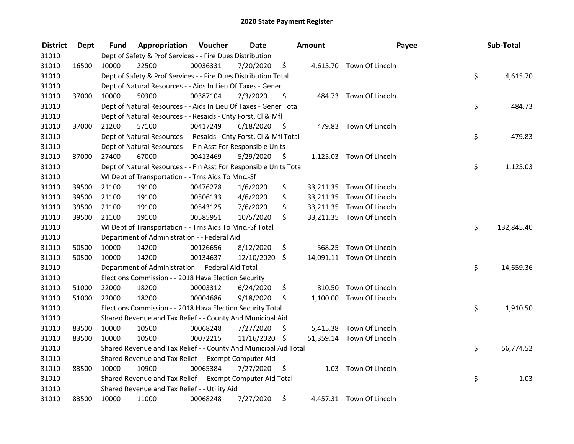| <b>District</b> | Dept  | Fund  | Appropriation                                                      | Voucher  | <b>Date</b>   |      | Amount | Payee                     | Sub-Total        |
|-----------------|-------|-------|--------------------------------------------------------------------|----------|---------------|------|--------|---------------------------|------------------|
| 31010           |       |       | Dept of Safety & Prof Services - - Fire Dues Distribution          |          |               |      |        |                           |                  |
| 31010           | 16500 | 10000 | 22500                                                              | 00036331 | 7/20/2020     | \$   |        | 4,615.70 Town Of Lincoln  |                  |
| 31010           |       |       | Dept of Safety & Prof Services - - Fire Dues Distribution Total    |          |               |      |        |                           | \$<br>4,615.70   |
| 31010           |       |       | Dept of Natural Resources - - Aids In Lieu Of Taxes - Gener        |          |               |      |        |                           |                  |
| 31010           | 37000 | 10000 | 50300                                                              | 00387104 | 2/3/2020      | \$   |        | 484.73 Town Of Lincoln    |                  |
| 31010           |       |       | Dept of Natural Resources - - Aids In Lieu Of Taxes - Gener Total  |          |               |      |        |                           | \$<br>484.73     |
| 31010           |       |       | Dept of Natural Resources - - Resaids - Cnty Forst, Cl & Mfl       |          |               |      |        |                           |                  |
| 31010           | 37000 | 21200 | 57100                                                              | 00417249 | 6/18/2020     | - \$ |        | 479.83 Town Of Lincoln    |                  |
| 31010           |       |       | Dept of Natural Resources - - Resaids - Cnty Forst, Cl & Mfl Total |          |               |      |        |                           | \$<br>479.83     |
| 31010           |       |       | Dept of Natural Resources - - Fin Asst For Responsible Units       |          |               |      |        |                           |                  |
| 31010           | 37000 | 27400 | 67000                                                              | 00413469 | 5/29/2020     | \$   |        | 1,125.03 Town Of Lincoln  |                  |
| 31010           |       |       | Dept of Natural Resources - - Fin Asst For Responsible Units Total |          |               |      |        |                           | \$<br>1,125.03   |
| 31010           |       |       | WI Dept of Transportation - - Trns Aids To Mnc.-Sf                 |          |               |      |        |                           |                  |
| 31010           | 39500 | 21100 | 19100                                                              | 00476278 | 1/6/2020      | \$   |        | 33,211.35 Town Of Lincoln |                  |
| 31010           | 39500 | 21100 | 19100                                                              | 00506133 | 4/6/2020      | \$   |        | 33,211.35 Town Of Lincoln |                  |
| 31010           | 39500 | 21100 | 19100                                                              | 00543125 | 7/6/2020      | \$   |        | 33,211.35 Town Of Lincoln |                  |
| 31010           | 39500 | 21100 | 19100                                                              | 00585951 | 10/5/2020     | \$   |        | 33,211.35 Town Of Lincoln |                  |
| 31010           |       |       | WI Dept of Transportation - - Trns Aids To Mnc.-Sf Total           |          |               |      |        |                           | \$<br>132,845.40 |
| 31010           |       |       | Department of Administration - - Federal Aid                       |          |               |      |        |                           |                  |
| 31010           | 50500 | 10000 | 14200                                                              | 00126656 | 8/12/2020     | \$   | 568.25 | Town Of Lincoln           |                  |
| 31010           | 50500 | 10000 | 14200                                                              | 00134637 | 12/10/2020    | \$   |        | 14,091.11 Town Of Lincoln |                  |
| 31010           |       |       | Department of Administration - - Federal Aid Total                 |          |               |      |        |                           | \$<br>14,659.36  |
| 31010           |       |       | Elections Commission - - 2018 Hava Election Security               |          |               |      |        |                           |                  |
| 31010           | 51000 | 22000 | 18200                                                              | 00003312 | 6/24/2020     | \$   | 810.50 | Town Of Lincoln           |                  |
| 31010           | 51000 | 22000 | 18200                                                              | 00004686 | 9/18/2020     | \$   |        | 1,100.00 Town Of Lincoln  |                  |
| 31010           |       |       | Elections Commission - - 2018 Hava Election Security Total         |          |               |      |        |                           | \$<br>1,910.50   |
| 31010           |       |       | Shared Revenue and Tax Relief - - County And Municipal Aid         |          |               |      |        |                           |                  |
| 31010           | 83500 | 10000 | 10500                                                              | 00068248 | 7/27/2020     | \$   |        | 5,415.38 Town Of Lincoln  |                  |
| 31010           | 83500 | 10000 | 10500                                                              | 00072215 | 11/16/2020 \$ |      |        | 51,359.14 Town Of Lincoln |                  |
| 31010           |       |       | Shared Revenue and Tax Relief - - County And Municipal Aid Total   |          |               |      |        |                           | \$<br>56,774.52  |
| 31010           |       |       | Shared Revenue and Tax Relief - - Exempt Computer Aid              |          |               |      |        |                           |                  |
| 31010           | 83500 | 10000 | 10900                                                              | 00065384 | 7/27/2020     | \$   |        | 1.03 Town Of Lincoln      |                  |
| 31010           |       |       | Shared Revenue and Tax Relief - - Exempt Computer Aid Total        |          |               |      |        |                           | \$<br>1.03       |
| 31010           |       |       | Shared Revenue and Tax Relief - - Utility Aid                      |          |               |      |        |                           |                  |
| 31010           | 83500 | 10000 | 11000                                                              | 00068248 | 7/27/2020     | \$   |        | 4,457.31 Town Of Lincoln  |                  |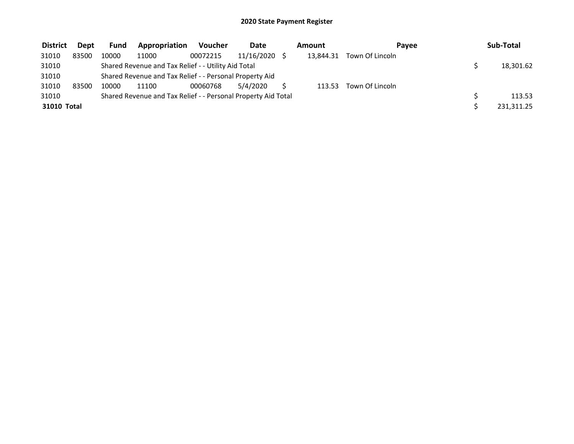| <b>District</b> | <b>Dept</b> | <b>Fund</b> | Appropriation                                                 | <b>Voucher</b> | <b>Date</b> | Amount    | Pavee           | Sub-Total  |
|-----------------|-------------|-------------|---------------------------------------------------------------|----------------|-------------|-----------|-----------------|------------|
| 31010           | 83500       | 10000       | 11000                                                         | 00072215       | 11/16/2020  | 13.844.31 | Town Of Lincoln |            |
| 31010           |             |             | Shared Revenue and Tax Relief - - Utility Aid Total           |                |             |           |                 | 18,301.62  |
| 31010           |             |             | Shared Revenue and Tax Relief - - Personal Property Aid       |                |             |           |                 |            |
| 31010           | 83500       | 10000       | 11100                                                         | 00060768       | 5/4/2020    | 113.53    | Town Of Lincoln |            |
| 31010           |             |             | Shared Revenue and Tax Relief - - Personal Property Aid Total |                |             |           |                 | 113.53     |
| 31010 Total     |             |             |                                                               |                |             |           |                 | 231,311.25 |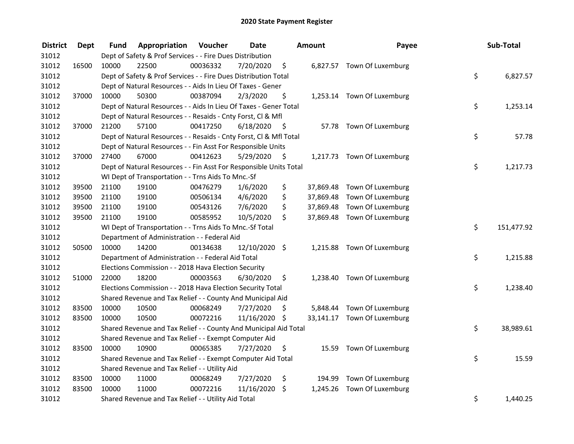| <b>District</b> | <b>Dept</b> | Fund  | Appropriation                                                      | Voucher  | <b>Date</b>   |      | Amount | Payee                       | Sub-Total        |
|-----------------|-------------|-------|--------------------------------------------------------------------|----------|---------------|------|--------|-----------------------------|------------------|
| 31012           |             |       | Dept of Safety & Prof Services - - Fire Dues Distribution          |          |               |      |        |                             |                  |
| 31012           | 16500       | 10000 | 22500                                                              | 00036332 | 7/20/2020     | \$   |        | 6,827.57 Town Of Luxemburg  |                  |
| 31012           |             |       | Dept of Safety & Prof Services - - Fire Dues Distribution Total    |          |               |      |        |                             | \$<br>6,827.57   |
| 31012           |             |       | Dept of Natural Resources - - Aids In Lieu Of Taxes - Gener        |          |               |      |        |                             |                  |
| 31012           | 37000       | 10000 | 50300                                                              | 00387094 | 2/3/2020      | \$   |        | 1,253.14 Town Of Luxemburg  |                  |
| 31012           |             |       | Dept of Natural Resources - - Aids In Lieu Of Taxes - Gener Total  |          |               |      |        |                             | \$<br>1,253.14   |
| 31012           |             |       | Dept of Natural Resources - - Resaids - Cnty Forst, Cl & Mfl       |          |               |      |        |                             |                  |
| 31012           | 37000       | 21200 | 57100                                                              | 00417250 | 6/18/2020     | - \$ |        | 57.78 Town Of Luxemburg     |                  |
| 31012           |             |       | Dept of Natural Resources - - Resaids - Cnty Forst, Cl & Mfl Total |          |               |      |        |                             | \$<br>57.78      |
| 31012           |             |       | Dept of Natural Resources - - Fin Asst For Responsible Units       |          |               |      |        |                             |                  |
| 31012           | 37000       | 27400 | 67000                                                              | 00412623 | 5/29/2020     | - \$ |        | 1,217.73 Town Of Luxemburg  |                  |
| 31012           |             |       | Dept of Natural Resources - - Fin Asst For Responsible Units Total |          |               |      |        |                             | \$<br>1,217.73   |
| 31012           |             |       | WI Dept of Transportation - - Trns Aids To Mnc.-Sf                 |          |               |      |        |                             |                  |
| 31012           | 39500       | 21100 | 19100                                                              | 00476279 | 1/6/2020      | \$   |        | 37,869.48 Town Of Luxemburg |                  |
| 31012           | 39500       | 21100 | 19100                                                              | 00506134 | 4/6/2020      | \$   |        | 37,869.48 Town Of Luxemburg |                  |
| 31012           | 39500       | 21100 | 19100                                                              | 00543126 | 7/6/2020      | \$   |        | 37,869.48 Town Of Luxemburg |                  |
| 31012           | 39500       | 21100 | 19100                                                              | 00585952 | 10/5/2020     | \$   |        | 37,869.48 Town Of Luxemburg |                  |
| 31012           |             |       | WI Dept of Transportation - - Trns Aids To Mnc.-Sf Total           |          |               |      |        |                             | \$<br>151,477.92 |
| 31012           |             |       | Department of Administration - - Federal Aid                       |          |               |      |        |                             |                  |
| 31012           | 50500       | 10000 | 14200                                                              | 00134638 | 12/10/2020 \$ |      |        | 1,215.88 Town Of Luxemburg  |                  |
| 31012           |             |       | Department of Administration - - Federal Aid Total                 |          |               |      |        |                             | \$<br>1,215.88   |
| 31012           |             |       | Elections Commission - - 2018 Hava Election Security               |          |               |      |        |                             |                  |
| 31012           | 51000       | 22000 | 18200                                                              | 00003563 | 6/30/2020     | \$.  |        | 1,238.40 Town Of Luxemburg  |                  |
| 31012           |             |       | Elections Commission - - 2018 Hava Election Security Total         |          |               |      |        |                             | \$<br>1,238.40   |
| 31012           |             |       | Shared Revenue and Tax Relief - - County And Municipal Aid         |          |               |      |        |                             |                  |
| 31012           | 83500       | 10000 | 10500                                                              | 00068249 | 7/27/2020     | S    |        | 5,848.44 Town Of Luxemburg  |                  |
| 31012           | 83500       | 10000 | 10500                                                              | 00072216 | 11/16/2020 \$ |      |        | 33,141.17 Town Of Luxemburg |                  |
| 31012           |             |       | Shared Revenue and Tax Relief - - County And Municipal Aid Total   |          |               |      |        |                             | \$<br>38,989.61  |
| 31012           |             |       | Shared Revenue and Tax Relief - - Exempt Computer Aid              |          |               |      |        |                             |                  |
| 31012           | 83500       | 10000 | 10900                                                              | 00065385 | 7/27/2020     | \$   |        | 15.59 Town Of Luxemburg     |                  |
| 31012           |             |       | Shared Revenue and Tax Relief - - Exempt Computer Aid Total        |          |               |      |        |                             | \$<br>15.59      |
| 31012           |             |       | Shared Revenue and Tax Relief - - Utility Aid                      |          |               |      |        |                             |                  |
| 31012           | 83500       | 10000 | 11000                                                              | 00068249 | 7/27/2020     | \$   |        | 194.99 Town Of Luxemburg    |                  |
| 31012           | 83500       | 10000 | 11000                                                              | 00072216 | 11/16/2020 \$ |      |        | 1,245.26 Town Of Luxemburg  |                  |
| 31012           |             |       | Shared Revenue and Tax Relief - - Utility Aid Total                |          |               |      |        |                             | \$<br>1,440.25   |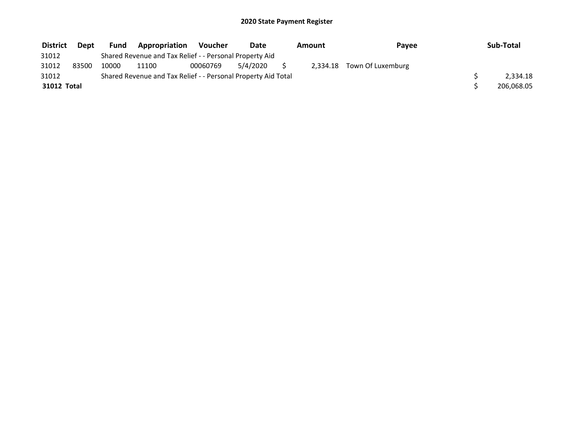| <b>District</b> | Dept  | Fund  | <b>Appropriation</b>                                          | <b>Voucher</b> | Date     | Amount | Payee                      | Sub-Total  |
|-----------------|-------|-------|---------------------------------------------------------------|----------------|----------|--------|----------------------------|------------|
| 31012           |       |       | Shared Revenue and Tax Relief - - Personal Property Aid       |                |          |        |                            |            |
| 31012           | 83500 | 10000 | 11100                                                         | 00060769       | 5/4/2020 |        | 2,334.18 Town Of Luxemburg |            |
| 31012           |       |       | Shared Revenue and Tax Relief - - Personal Property Aid Total |                |          |        |                            | 2.334.18   |
| 31012 Total     |       |       |                                                               |                |          |        |                            | 206,068.05 |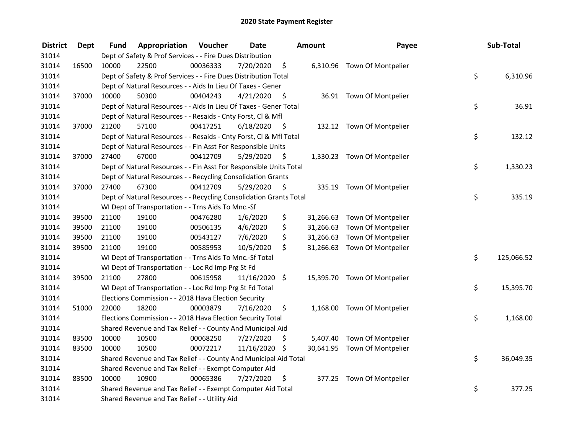| <b>District</b> | <b>Dept</b> | Fund  | Appropriation                                                      | Voucher  | <b>Date</b>     |      | Amount    | Payee                        | Sub-Total        |
|-----------------|-------------|-------|--------------------------------------------------------------------|----------|-----------------|------|-----------|------------------------------|------------------|
| 31014           |             |       | Dept of Safety & Prof Services - - Fire Dues Distribution          |          |                 |      |           |                              |                  |
| 31014           | 16500       | 10000 | 22500                                                              | 00036333 | 7/20/2020       | \$   |           | 6,310.96 Town Of Montpelier  |                  |
| 31014           |             |       | Dept of Safety & Prof Services - - Fire Dues Distribution Total    |          |                 |      |           |                              | \$<br>6,310.96   |
| 31014           |             |       | Dept of Natural Resources - - Aids In Lieu Of Taxes - Gener        |          |                 |      |           |                              |                  |
| 31014           | 37000       | 10000 | 50300                                                              | 00404243 | 4/21/2020       | \$   |           | 36.91 Town Of Montpelier     |                  |
| 31014           |             |       | Dept of Natural Resources - - Aids In Lieu Of Taxes - Gener Total  |          |                 |      |           |                              | \$<br>36.91      |
| 31014           |             |       | Dept of Natural Resources - - Resaids - Cnty Forst, Cl & Mfl       |          |                 |      |           |                              |                  |
| 31014           | 37000       | 21200 | 57100                                                              | 00417251 | 6/18/2020       | - \$ |           | 132.12 Town Of Montpelier    |                  |
| 31014           |             |       | Dept of Natural Resources - - Resaids - Cnty Forst, Cl & Mfl Total |          |                 |      |           |                              | \$<br>132.12     |
| 31014           |             |       | Dept of Natural Resources - - Fin Asst For Responsible Units       |          |                 |      |           |                              |                  |
| 31014           | 37000       | 27400 | 67000                                                              | 00412709 | 5/29/2020       | \$   |           | 1,330.23 Town Of Montpelier  |                  |
| 31014           |             |       | Dept of Natural Resources - - Fin Asst For Responsible Units Total |          |                 |      |           |                              | \$<br>1,330.23   |
| 31014           |             |       | Dept of Natural Resources - - Recycling Consolidation Grants       |          |                 |      |           |                              |                  |
| 31014           | 37000       | 27400 | 67300                                                              | 00412709 | 5/29/2020       | \$.  |           | 335.19 Town Of Montpelier    |                  |
| 31014           |             |       | Dept of Natural Resources - - Recycling Consolidation Grants Total |          |                 |      |           |                              | \$<br>335.19     |
| 31014           |             |       | WI Dept of Transportation - - Trns Aids To Mnc.-Sf                 |          |                 |      |           |                              |                  |
| 31014           | 39500       | 21100 | 19100                                                              | 00476280 | 1/6/2020        | \$   | 31,266.63 | Town Of Montpelier           |                  |
| 31014           | 39500       | 21100 | 19100                                                              | 00506135 | 4/6/2020        | \$   | 31,266.63 | Town Of Montpelier           |                  |
| 31014           | 39500       | 21100 | 19100                                                              | 00543127 | 7/6/2020        | \$   | 31,266.63 | Town Of Montpelier           |                  |
| 31014           | 39500       | 21100 | 19100                                                              | 00585953 | 10/5/2020       | \$   |           | 31,266.63 Town Of Montpelier |                  |
| 31014           |             |       | WI Dept of Transportation - - Trns Aids To Mnc.-Sf Total           |          |                 |      |           |                              | \$<br>125,066.52 |
| 31014           |             |       | WI Dept of Transportation - - Loc Rd Imp Prg St Fd                 |          |                 |      |           |                              |                  |
| 31014           | 39500       | 21100 | 27800                                                              | 00615958 | $11/16/2020$ \$ |      |           | 15,395.70 Town Of Montpelier |                  |
| 31014           |             |       | WI Dept of Transportation - - Loc Rd Imp Prg St Fd Total           |          |                 |      |           |                              | \$<br>15,395.70  |
| 31014           |             |       | Elections Commission - - 2018 Hava Election Security               |          |                 |      |           |                              |                  |
| 31014           | 51000       | 22000 | 18200                                                              | 00003879 | 7/16/2020       | \$   |           | 1,168.00 Town Of Montpelier  |                  |
| 31014           |             |       | Elections Commission - - 2018 Hava Election Security Total         |          |                 |      |           |                              | \$<br>1,168.00   |
| 31014           |             |       | Shared Revenue and Tax Relief - - County And Municipal Aid         |          |                 |      |           |                              |                  |
| 31014           | 83500       | 10000 | 10500                                                              | 00068250 | 7/27/2020       | \$   |           | 5,407.40 Town Of Montpelier  |                  |
| 31014           | 83500       | 10000 | 10500                                                              | 00072217 | 11/16/2020 \$   |      |           | 30,641.95 Town Of Montpelier |                  |
| 31014           |             |       | Shared Revenue and Tax Relief - - County And Municipal Aid Total   |          |                 |      |           |                              | \$<br>36,049.35  |
| 31014           |             |       | Shared Revenue and Tax Relief - - Exempt Computer Aid              |          |                 |      |           |                              |                  |
| 31014           | 83500       | 10000 | 10900                                                              | 00065386 | 7/27/2020       | \$   | 377.25    | Town Of Montpelier           |                  |
| 31014           |             |       | Shared Revenue and Tax Relief - - Exempt Computer Aid Total        |          |                 |      |           |                              | \$<br>377.25     |
| 31014           |             |       | Shared Revenue and Tax Relief - - Utility Aid                      |          |                 |      |           |                              |                  |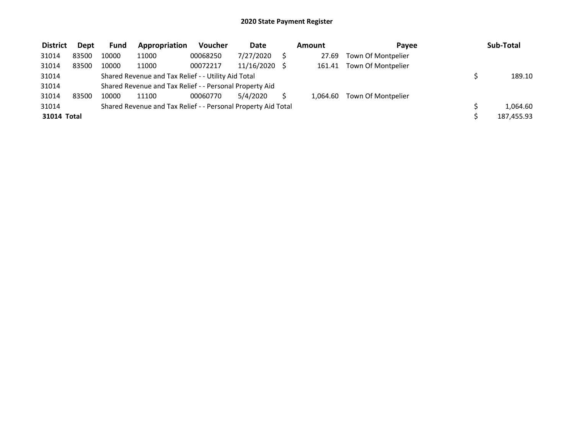| <b>District</b> | <b>Dept</b> | <b>Fund</b> | Appropriation                                                 | Voucher  | Date       | Amount   | Pavee                     | Sub-Total  |
|-----------------|-------------|-------------|---------------------------------------------------------------|----------|------------|----------|---------------------------|------------|
| 31014           | 83500       | 10000       | 11000                                                         | 00068250 | 7/27/2020  | 27.69    | Town Of Montpelier        |            |
| 31014           | 83500       | 10000       | 11000                                                         | 00072217 | 11/16/2020 |          | 161.41 Town Of Montpelier |            |
| 31014           |             |             | Shared Revenue and Tax Relief - - Utility Aid Total           |          |            |          |                           | 189.10     |
| 31014           |             |             | Shared Revenue and Tax Relief - - Personal Property Aid       |          |            |          |                           |            |
| 31014           | 83500       | 10000       | 11100                                                         | 00060770 | 5/4/2020   | 1.064.60 | Town Of Montpelier        |            |
| 31014           |             |             | Shared Revenue and Tax Relief - - Personal Property Aid Total |          |            |          |                           | 1,064.60   |
| 31014 Total     |             |             |                                                               |          |            |          |                           | 187,455.93 |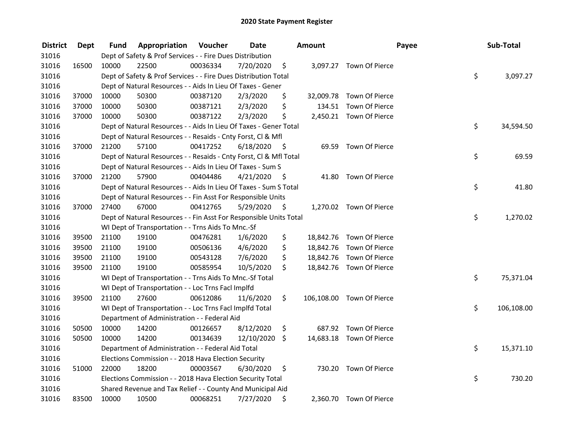| <b>District</b> | <b>Dept</b> | Fund  | Appropriation                                                      | Voucher  | <b>Date</b> |      | <b>Amount</b> |                           | Payee | Sub-Total  |
|-----------------|-------------|-------|--------------------------------------------------------------------|----------|-------------|------|---------------|---------------------------|-------|------------|
| 31016           |             |       | Dept of Safety & Prof Services - - Fire Dues Distribution          |          |             |      |               |                           |       |            |
| 31016           | 16500       | 10000 | 22500                                                              | 00036334 | 7/20/2020   | \$   |               | 3,097.27 Town Of Pierce   |       |            |
| 31016           |             |       | Dept of Safety & Prof Services - - Fire Dues Distribution Total    |          |             |      |               |                           | \$    | 3,097.27   |
| 31016           |             |       | Dept of Natural Resources - - Aids In Lieu Of Taxes - Gener        |          |             |      |               |                           |       |            |
| 31016           | 37000       | 10000 | 50300                                                              | 00387120 | 2/3/2020    | \$   |               | 32,009.78 Town Of Pierce  |       |            |
| 31016           | 37000       | 10000 | 50300                                                              | 00387121 | 2/3/2020    | \$   | 134.51        | Town Of Pierce            |       |            |
| 31016           | 37000       | 10000 | 50300                                                              | 00387122 | 2/3/2020    | \$   |               | 2,450.21 Town Of Pierce   |       |            |
| 31016           |             |       | Dept of Natural Resources - - Aids In Lieu Of Taxes - Gener Total  |          |             |      |               |                           | \$    | 34,594.50  |
| 31016           |             |       | Dept of Natural Resources - - Resaids - Cnty Forst, CI & Mfl       |          |             |      |               |                           |       |            |
| 31016           | 37000       | 21200 | 57100                                                              | 00417252 | 6/18/2020   | - \$ |               | 69.59 Town Of Pierce      |       |            |
| 31016           |             |       | Dept of Natural Resources - - Resaids - Cnty Forst, Cl & Mfl Total |          |             |      |               |                           | \$    | 69.59      |
| 31016           |             |       | Dept of Natural Resources - - Aids In Lieu Of Taxes - Sum S        |          |             |      |               |                           |       |            |
| 31016           | 37000       | 21200 | 57900                                                              | 00404486 | 4/21/2020   | -\$  | 41.80         | Town Of Pierce            |       |            |
| 31016           |             |       | Dept of Natural Resources - - Aids In Lieu Of Taxes - Sum S Total  |          |             |      |               |                           | \$    | 41.80      |
| 31016           |             |       | Dept of Natural Resources - - Fin Asst For Responsible Units       |          |             |      |               |                           |       |            |
| 31016           | 37000       | 27400 | 67000                                                              | 00412765 | 5/29/2020   | \$   |               | 1,270.02 Town Of Pierce   |       |            |
| 31016           |             |       | Dept of Natural Resources - - Fin Asst For Responsible Units Total |          |             |      |               |                           | \$    | 1,270.02   |
| 31016           |             |       | WI Dept of Transportation - - Trns Aids To Mnc.-Sf                 |          |             |      |               |                           |       |            |
| 31016           | 39500       | 21100 | 19100                                                              | 00476281 | 1/6/2020    | \$   |               | 18,842.76 Town Of Pierce  |       |            |
| 31016           | 39500       | 21100 | 19100                                                              | 00506136 | 4/6/2020    | \$   |               | 18,842.76 Town Of Pierce  |       |            |
| 31016           | 39500       | 21100 | 19100                                                              | 00543128 | 7/6/2020    | \$   |               | 18,842.76 Town Of Pierce  |       |            |
| 31016           | 39500       | 21100 | 19100                                                              | 00585954 | 10/5/2020   | \$   |               | 18,842.76 Town Of Pierce  |       |            |
| 31016           |             |       | WI Dept of Transportation - - Trns Aids To Mnc.-Sf Total           |          |             |      |               |                           | \$    | 75,371.04  |
| 31016           |             |       | WI Dept of Transportation - - Loc Trns FacI Implfd                 |          |             |      |               |                           |       |            |
| 31016           | 39500       | 21100 | 27600                                                              | 00612086 | 11/6/2020   | \$   |               | 106,108.00 Town Of Pierce |       |            |
| 31016           |             |       | WI Dept of Transportation - - Loc Trns Facl Implfd Total           |          |             |      |               |                           | \$    | 106,108.00 |
| 31016           |             |       | Department of Administration - - Federal Aid                       |          |             |      |               |                           |       |            |
| 31016           | 50500       | 10000 | 14200                                                              | 00126657 | 8/12/2020   | \$   |               | 687.92 Town Of Pierce     |       |            |
| 31016           | 50500       | 10000 | 14200                                                              | 00134639 | 12/10/2020  | \$   |               | 14,683.18 Town Of Pierce  |       |            |
| 31016           |             |       | Department of Administration - - Federal Aid Total                 |          |             |      |               |                           | \$    | 15,371.10  |
| 31016           |             |       | Elections Commission - - 2018 Hava Election Security               |          |             |      |               |                           |       |            |
| 31016           | 51000       | 22000 | 18200                                                              | 00003567 | 6/30/2020   | \$   | 730.20        | Town Of Pierce            |       |            |
| 31016           |             |       | Elections Commission - - 2018 Hava Election Security Total         |          |             |      |               |                           | \$    | 730.20     |
| 31016           |             |       | Shared Revenue and Tax Relief - - County And Municipal Aid         |          |             |      |               |                           |       |            |
| 31016           | 83500       | 10000 | 10500                                                              | 00068251 | 7/27/2020   | \$   |               | 2,360.70 Town Of Pierce   |       |            |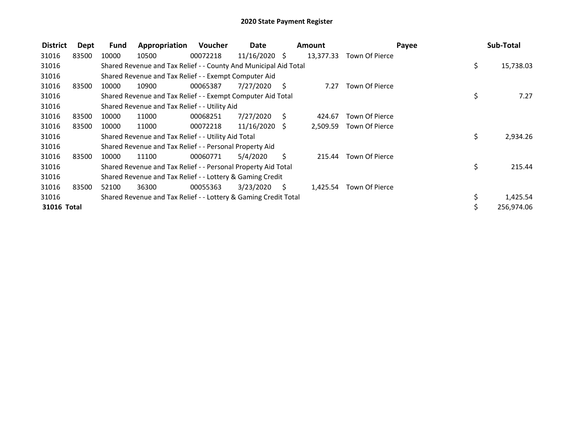| <b>District</b> | <b>Dept</b> | <b>Fund</b> | Appropriation                                                    | Voucher  | Date            |     | <b>Amount</b> |                | Payee | Sub-Total  |
|-----------------|-------------|-------------|------------------------------------------------------------------|----------|-----------------|-----|---------------|----------------|-------|------------|
| 31016           | 83500       | 10000       | 10500                                                            | 00072218 | $11/16/2020$ \$ |     | 13,377.33     | Town Of Pierce |       |            |
| 31016           |             |             | Shared Revenue and Tax Relief - - County And Municipal Aid Total |          |                 |     |               |                | \$.   | 15,738.03  |
| 31016           |             |             | Shared Revenue and Tax Relief - - Exempt Computer Aid            |          |                 |     |               |                |       |            |
| 31016           | 83500       | 10000       | 10900                                                            | 00065387 | 7/27/2020       | - S | 7.27          | Town Of Pierce |       |            |
| 31016           |             |             | Shared Revenue and Tax Relief - - Exempt Computer Aid Total      |          |                 |     |               |                | \$    | 7.27       |
| 31016           |             |             | Shared Revenue and Tax Relief - - Utility Aid                    |          |                 |     |               |                |       |            |
| 31016           | 83500       | 10000       | 11000                                                            | 00068251 | 7/27/2020       | S.  | 424.67        | Town Of Pierce |       |            |
| 31016           | 83500       | 10000       | 11000                                                            | 00072218 | $11/16/2020$ \$ |     | 2,509.59      | Town Of Pierce |       |            |
| 31016           |             |             | Shared Revenue and Tax Relief - - Utility Aid Total              |          |                 |     |               |                | \$    | 2,934.26   |
| 31016           |             |             | Shared Revenue and Tax Relief - - Personal Property Aid          |          |                 |     |               |                |       |            |
| 31016           | 83500       | 10000       | 11100                                                            | 00060771 | 5/4/2020        | S.  | 215.44        | Town Of Pierce |       |            |
| 31016           |             |             | Shared Revenue and Tax Relief - - Personal Property Aid Total    |          |                 |     |               |                | \$    | 215.44     |
| 31016           |             |             | Shared Revenue and Tax Relief - - Lottery & Gaming Credit        |          |                 |     |               |                |       |            |
| 31016           | 83500       | 52100       | 36300                                                            | 00055363 | 3/23/2020       | - S | 1,425.54      | Town Of Pierce |       |            |
| 31016           |             |             | Shared Revenue and Tax Relief - - Lottery & Gaming Credit Total  |          |                 |     |               |                | \$    | 1,425.54   |
| 31016 Total     |             |             |                                                                  |          |                 |     |               |                |       | 256,974.06 |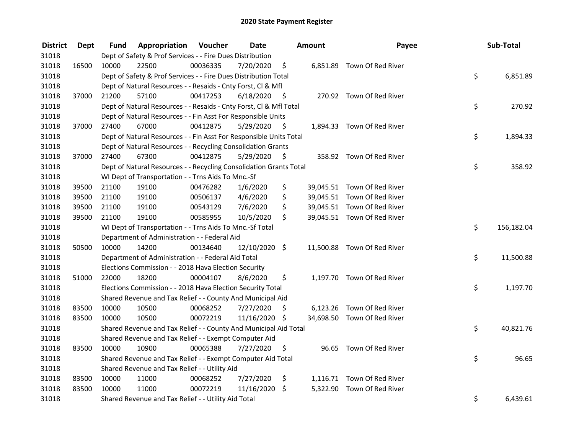| <b>District</b> | <b>Dept</b> | Fund  | Appropriation                                                      | Voucher  | <b>Date</b>   |      | <b>Amount</b> | Payee                       | Sub-Total        |
|-----------------|-------------|-------|--------------------------------------------------------------------|----------|---------------|------|---------------|-----------------------------|------------------|
| 31018           |             |       | Dept of Safety & Prof Services - - Fire Dues Distribution          |          |               |      |               |                             |                  |
| 31018           | 16500       | 10000 | 22500                                                              | 00036335 | 7/20/2020     | \$   |               | 6,851.89 Town Of Red River  |                  |
| 31018           |             |       | Dept of Safety & Prof Services - - Fire Dues Distribution Total    |          |               |      |               |                             | \$<br>6,851.89   |
| 31018           |             |       | Dept of Natural Resources - - Resaids - Cnty Forst, Cl & Mfl       |          |               |      |               |                             |                  |
| 31018           | 37000       | 21200 | 57100                                                              | 00417253 | 6/18/2020     | - \$ |               | 270.92 Town Of Red River    |                  |
| 31018           |             |       | Dept of Natural Resources - - Resaids - Cnty Forst, Cl & Mfl Total |          |               |      |               |                             | \$<br>270.92     |
| 31018           |             |       | Dept of Natural Resources - - Fin Asst For Responsible Units       |          |               |      |               |                             |                  |
| 31018           | 37000       | 27400 | 67000                                                              | 00412875 | 5/29/2020     | - \$ |               | 1,894.33 Town Of Red River  |                  |
| 31018           |             |       | Dept of Natural Resources - - Fin Asst For Responsible Units Total |          |               |      |               |                             | \$<br>1,894.33   |
| 31018           |             |       | Dept of Natural Resources - - Recycling Consolidation Grants       |          |               |      |               |                             |                  |
| 31018           | 37000       | 27400 | 67300                                                              | 00412875 | 5/29/2020     | \$   |               | 358.92 Town Of Red River    |                  |
| 31018           |             |       | Dept of Natural Resources - - Recycling Consolidation Grants Total |          |               |      |               |                             | \$<br>358.92     |
| 31018           |             |       | WI Dept of Transportation - - Trns Aids To Mnc.-Sf                 |          |               |      |               |                             |                  |
| 31018           | 39500       | 21100 | 19100                                                              | 00476282 | 1/6/2020      | \$   |               | 39,045.51 Town Of Red River |                  |
| 31018           | 39500       | 21100 | 19100                                                              | 00506137 | 4/6/2020      | \$   |               | 39,045.51 Town Of Red River |                  |
| 31018           | 39500       | 21100 | 19100                                                              | 00543129 | 7/6/2020      | \$   |               | 39,045.51 Town Of Red River |                  |
| 31018           | 39500       | 21100 | 19100                                                              | 00585955 | 10/5/2020     | \$.  |               | 39,045.51 Town Of Red River |                  |
| 31018           |             |       | WI Dept of Transportation - - Trns Aids To Mnc.-Sf Total           |          |               |      |               |                             | \$<br>156,182.04 |
| 31018           |             |       | Department of Administration - - Federal Aid                       |          |               |      |               |                             |                  |
| 31018           | 50500       | 10000 | 14200                                                              | 00134640 | 12/10/2020 \$ |      |               | 11,500.88 Town Of Red River |                  |
| 31018           |             |       | Department of Administration - - Federal Aid Total                 |          |               |      |               |                             | \$<br>11,500.88  |
| 31018           |             |       | Elections Commission - - 2018 Hava Election Security               |          |               |      |               |                             |                  |
| 31018           | 51000       | 22000 | 18200                                                              | 00004107 | 8/6/2020      | \$   |               | 1,197.70 Town Of Red River  |                  |
| 31018           |             |       | Elections Commission - - 2018 Hava Election Security Total         |          |               |      |               |                             | \$<br>1,197.70   |
| 31018           |             |       | Shared Revenue and Tax Relief - - County And Municipal Aid         |          |               |      |               |                             |                  |
| 31018           | 83500       | 10000 | 10500                                                              | 00068252 | 7/27/2020     | S    |               | 6,123.26 Town Of Red River  |                  |
| 31018           | 83500       | 10000 | 10500                                                              | 00072219 | 11/16/2020 \$ |      |               | 34,698.50 Town Of Red River |                  |
| 31018           |             |       | Shared Revenue and Tax Relief - - County And Municipal Aid Total   |          |               |      |               |                             | \$<br>40,821.76  |
| 31018           |             |       | Shared Revenue and Tax Relief - - Exempt Computer Aid              |          |               |      |               |                             |                  |
| 31018           | 83500       | 10000 | 10900                                                              | 00065388 | 7/27/2020     | -\$  |               | 96.65 Town Of Red River     |                  |
| 31018           |             |       | Shared Revenue and Tax Relief - - Exempt Computer Aid Total        |          |               |      |               |                             | \$<br>96.65      |
| 31018           |             |       | Shared Revenue and Tax Relief - - Utility Aid                      |          |               |      |               |                             |                  |
| 31018           | 83500       | 10000 | 11000                                                              | 00068252 | 7/27/2020     | \$   |               | 1,116.71 Town Of Red River  |                  |
| 31018           | 83500       | 10000 | 11000                                                              | 00072219 | 11/16/2020    | \$   | 5,322.90      | Town Of Red River           |                  |
| 31018           |             |       | Shared Revenue and Tax Relief - - Utility Aid Total                |          |               |      |               |                             | \$<br>6,439.61   |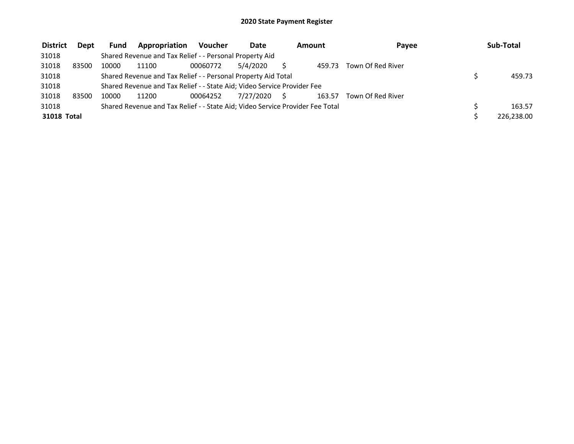| <b>District</b> | Dept  | <b>Fund</b> | Appropriation                                                                 | Voucher  | Date         | Amount |        | Payee             | Sub-Total  |
|-----------------|-------|-------------|-------------------------------------------------------------------------------|----------|--------------|--------|--------|-------------------|------------|
| 31018           |       |             | Shared Revenue and Tax Relief - - Personal Property Aid                       |          |              |        |        |                   |            |
| 31018           | 83500 | 10000       | 11100                                                                         | 00060772 | 5/4/2020     |        | 459.73 | Town Of Red River |            |
| 31018           |       |             | Shared Revenue and Tax Relief - - Personal Property Aid Total                 |          |              |        |        |                   | 459.73     |
| 31018           |       |             | Shared Revenue and Tax Relief - - State Aid; Video Service Provider Fee       |          |              |        |        |                   |            |
| 31018           | 83500 | 10000       | 11200                                                                         | 00064252 | 7/27/2020 \$ |        | 163.57 | Town Of Red River |            |
| 31018           |       |             | Shared Revenue and Tax Relief - - State Aid; Video Service Provider Fee Total |          |              |        |        |                   | 163.57     |
| 31018 Total     |       |             |                                                                               |          |              |        |        |                   | 226.238.00 |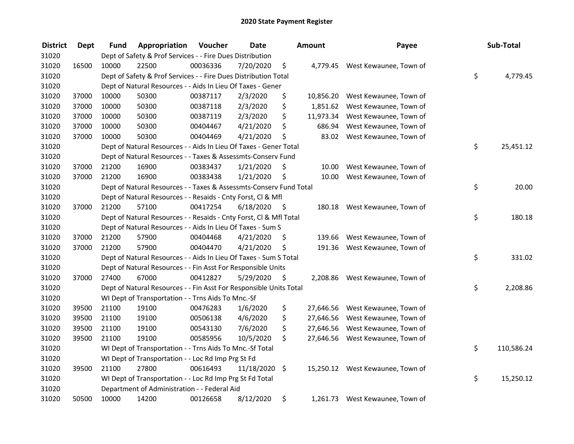| <b>District</b> | Dept  | Fund  | Appropriation                                                      | Voucher  | <b>Date</b>   |      | Amount    | Payee                            | Sub-Total        |
|-----------------|-------|-------|--------------------------------------------------------------------|----------|---------------|------|-----------|----------------------------------|------------------|
| 31020           |       |       | Dept of Safety & Prof Services - - Fire Dues Distribution          |          |               |      |           |                                  |                  |
| 31020           | 16500 | 10000 | 22500                                                              | 00036336 | 7/20/2020     | \$   |           | 4,779.45 West Kewaunee, Town of  |                  |
| 31020           |       |       | Dept of Safety & Prof Services - - Fire Dues Distribution Total    |          |               |      |           |                                  | \$<br>4,779.45   |
| 31020           |       |       | Dept of Natural Resources - - Aids In Lieu Of Taxes - Gener        |          |               |      |           |                                  |                  |
| 31020           | 37000 | 10000 | 50300                                                              | 00387117 | 2/3/2020      | \$   | 10,856.20 | West Kewaunee, Town of           |                  |
| 31020           | 37000 | 10000 | 50300                                                              | 00387118 | 2/3/2020      | \$   | 1,851.62  | West Kewaunee, Town of           |                  |
| 31020           | 37000 | 10000 | 50300                                                              | 00387119 | 2/3/2020      | \$   | 11,973.34 | West Kewaunee, Town of           |                  |
| 31020           | 37000 | 10000 | 50300                                                              | 00404467 | 4/21/2020     | \$   | 686.94    | West Kewaunee, Town of           |                  |
| 31020           | 37000 | 10000 | 50300                                                              | 00404469 | 4/21/2020     | \$   |           | 83.02 West Kewaunee, Town of     |                  |
| 31020           |       |       | Dept of Natural Resources - - Aids In Lieu Of Taxes - Gener Total  |          |               |      |           |                                  | \$<br>25,451.12  |
| 31020           |       |       | Dept of Natural Resources - - Taxes & Assessmts-Conserv Fund       |          |               |      |           |                                  |                  |
| 31020           | 37000 | 21200 | 16900                                                              | 00383437 | 1/21/2020     | \$   | 10.00     | West Kewaunee, Town of           |                  |
| 31020           | 37000 | 21200 | 16900                                                              | 00383438 | 1/21/2020     | \$   | 10.00     | West Kewaunee, Town of           |                  |
| 31020           |       |       | Dept of Natural Resources - - Taxes & Assessmts-Conserv Fund Total |          |               |      |           |                                  | \$<br>20.00      |
| 31020           |       |       | Dept of Natural Resources - - Resaids - Cnty Forst, Cl & Mfl       |          |               |      |           |                                  |                  |
| 31020           | 37000 | 21200 | 57100                                                              | 00417254 | 6/18/2020     | - \$ | 180.18    | West Kewaunee, Town of           |                  |
| 31020           |       |       | Dept of Natural Resources - - Resaids - Cnty Forst, CI & Mfl Total |          |               |      |           |                                  | \$<br>180.18     |
| 31020           |       |       | Dept of Natural Resources - - Aids In Lieu Of Taxes - Sum S        |          |               |      |           |                                  |                  |
| 31020           | 37000 | 21200 | 57900                                                              | 00404468 | 4/21/2020     | \$   | 139.66    | West Kewaunee, Town of           |                  |
| 31020           | 37000 | 21200 | 57900                                                              | 00404470 | 4/21/2020     | \$   | 191.36    | West Kewaunee, Town of           |                  |
| 31020           |       |       | Dept of Natural Resources - - Aids In Lieu Of Taxes - Sum S Total  |          |               |      |           |                                  | \$<br>331.02     |
| 31020           |       |       | Dept of Natural Resources - - Fin Asst For Responsible Units       |          |               |      |           |                                  |                  |
| 31020           | 37000 | 27400 | 67000                                                              | 00412827 | 5/29/2020     | - \$ |           | 2,208.86 West Kewaunee, Town of  |                  |
| 31020           |       |       | Dept of Natural Resources - - Fin Asst For Responsible Units Total |          |               |      |           |                                  | \$<br>2,208.86   |
| 31020           |       |       | WI Dept of Transportation - - Trns Aids To Mnc.-Sf                 |          |               |      |           |                                  |                  |
| 31020           | 39500 | 21100 | 19100                                                              | 00476283 | 1/6/2020      | \$   | 27,646.56 | West Kewaunee, Town of           |                  |
| 31020           | 39500 | 21100 | 19100                                                              | 00506138 | 4/6/2020      | \$   | 27,646.56 | West Kewaunee, Town of           |                  |
| 31020           | 39500 | 21100 | 19100                                                              | 00543130 | 7/6/2020      | \$   | 27,646.56 | West Kewaunee, Town of           |                  |
| 31020           | 39500 | 21100 | 19100                                                              | 00585956 | 10/5/2020     | \$   | 27,646.56 | West Kewaunee, Town of           |                  |
| 31020           |       |       | WI Dept of Transportation - - Trns Aids To Mnc.-Sf Total           |          |               |      |           |                                  | \$<br>110,586.24 |
| 31020           |       |       | WI Dept of Transportation - - Loc Rd Imp Prg St Fd                 |          |               |      |           |                                  |                  |
| 31020           | 39500 | 21100 | 27800                                                              | 00616493 | 11/18/2020 \$ |      |           | 15,250.12 West Kewaunee, Town of |                  |
| 31020           |       |       | WI Dept of Transportation - - Loc Rd Imp Prg St Fd Total           |          |               |      |           |                                  | \$<br>15,250.12  |
| 31020           |       |       | Department of Administration - - Federal Aid                       |          |               |      |           |                                  |                  |
| 31020           | 50500 | 10000 | 14200                                                              | 00126658 | 8/12/2020     | \$   |           | 1,261.73 West Kewaunee, Town of  |                  |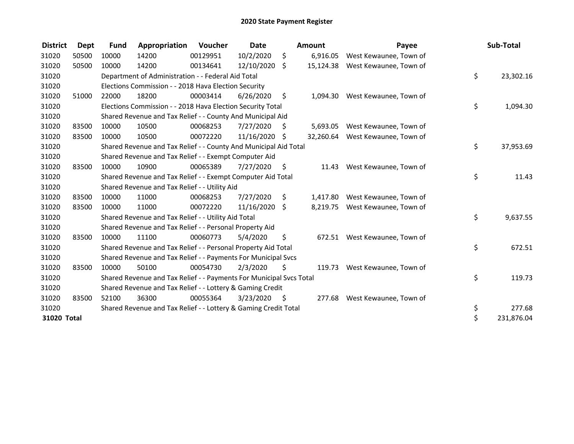| <b>District</b> | <b>Dept</b> | <b>Fund</b> | Appropriation                                                       | <b>Voucher</b> | <b>Date</b>   |      | <b>Amount</b> | Payee                            | Sub-Total        |
|-----------------|-------------|-------------|---------------------------------------------------------------------|----------------|---------------|------|---------------|----------------------------------|------------------|
| 31020           | 50500       | 10000       | 14200                                                               | 00129951       | 10/2/2020     | \$   | 6,916.05      | West Kewaunee, Town of           |                  |
| 31020           | 50500       | 10000       | 14200                                                               | 00134641       | 12/10/2020    | \$   |               | 15,124.38 West Kewaunee, Town of |                  |
| 31020           |             |             | Department of Administration - - Federal Aid Total                  |                |               |      |               |                                  | \$<br>23,302.16  |
| 31020           |             |             | Elections Commission - - 2018 Hava Election Security                |                |               |      |               |                                  |                  |
| 31020           | 51000       | 22000       | 18200                                                               | 00003414       | 6/26/2020     | \$   | 1.094.30      | West Kewaunee, Town of           |                  |
| 31020           |             |             | Elections Commission - - 2018 Hava Election Security Total          |                |               |      |               |                                  | \$<br>1,094.30   |
| 31020           |             |             | Shared Revenue and Tax Relief - - County And Municipal Aid          |                |               |      |               |                                  |                  |
| 31020           | 83500       | 10000       | 10500                                                               | 00068253       | 7/27/2020     | \$   | 5,693.05      | West Kewaunee, Town of           |                  |
| 31020           | 83500       | 10000       | 10500                                                               | 00072220       | 11/16/2020 \$ |      | 32,260.64     | West Kewaunee, Town of           |                  |
| 31020           |             |             | Shared Revenue and Tax Relief - - County And Municipal Aid Total    |                |               |      |               |                                  | \$<br>37,953.69  |
| 31020           |             |             | Shared Revenue and Tax Relief - - Exempt Computer Aid               |                |               |      |               |                                  |                  |
| 31020           | 83500       | 10000       | 10900                                                               | 00065389       | 7/27/2020     | \$   | 11.43         | West Kewaunee, Town of           |                  |
| 31020           |             |             | Shared Revenue and Tax Relief - - Exempt Computer Aid Total         |                |               |      |               |                                  | \$<br>11.43      |
| 31020           |             |             | Shared Revenue and Tax Relief - - Utility Aid                       |                |               |      |               |                                  |                  |
| 31020           | 83500       | 10000       | 11000                                                               | 00068253       | 7/27/2020     | \$   | 1,417.80      | West Kewaunee, Town of           |                  |
| 31020           | 83500       | 10000       | 11000                                                               | 00072220       | 11/16/2020    | \$   | 8,219.75      | West Kewaunee, Town of           |                  |
| 31020           |             |             | Shared Revenue and Tax Relief - - Utility Aid Total                 |                |               |      |               |                                  | \$<br>9,637.55   |
| 31020           |             |             | Shared Revenue and Tax Relief - - Personal Property Aid             |                |               |      |               |                                  |                  |
| 31020           | 83500       | 10000       | 11100                                                               | 00060773       | 5/4/2020      | \$   | 672.51        | West Kewaunee, Town of           |                  |
| 31020           |             |             | Shared Revenue and Tax Relief - - Personal Property Aid Total       |                |               |      |               |                                  | \$<br>672.51     |
| 31020           |             |             | Shared Revenue and Tax Relief - - Payments For Municipal Svcs       |                |               |      |               |                                  |                  |
| 31020           | 83500       | 10000       | 50100                                                               | 00054730       | 2/3/2020      | \$   | 119.73        | West Kewaunee, Town of           |                  |
| 31020           |             |             | Shared Revenue and Tax Relief - - Payments For Municipal Svcs Total |                |               |      |               |                                  | \$<br>119.73     |
| 31020           |             |             | Shared Revenue and Tax Relief - - Lottery & Gaming Credit           |                |               |      |               |                                  |                  |
| 31020           | 83500       | 52100       | 36300                                                               | 00055364       | 3/23/2020     | - \$ |               | 277.68 West Kewaunee, Town of    |                  |
| 31020           |             |             | Shared Revenue and Tax Relief - - Lottery & Gaming Credit Total     |                |               |      |               |                                  | \$<br>277.68     |
| 31020 Total     |             |             |                                                                     |                |               |      |               |                                  | \$<br>231,876.04 |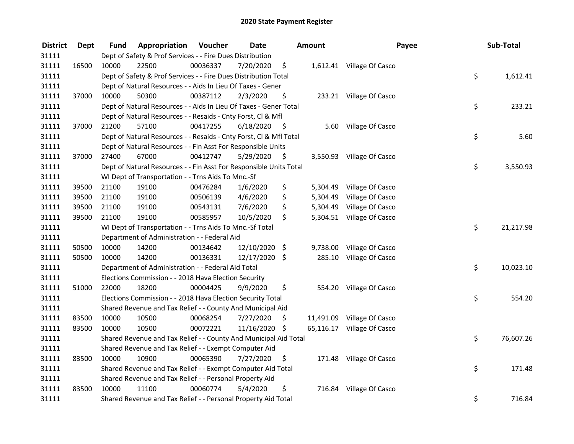| <b>District</b> | <b>Dept</b> | Fund  | Appropriation                                                      | Voucher  | <b>Date</b>   |      | Amount   | Payee                      | Sub-Total       |
|-----------------|-------------|-------|--------------------------------------------------------------------|----------|---------------|------|----------|----------------------------|-----------------|
| 31111           |             |       | Dept of Safety & Prof Services - - Fire Dues Distribution          |          |               |      |          |                            |                 |
| 31111           | 16500       | 10000 | 22500                                                              | 00036337 | 7/20/2020     | \$   |          | 1,612.41 Village Of Casco  |                 |
| 31111           |             |       | Dept of Safety & Prof Services - - Fire Dues Distribution Total    |          |               |      |          |                            | \$<br>1,612.41  |
| 31111           |             |       | Dept of Natural Resources - - Aids In Lieu Of Taxes - Gener        |          |               |      |          |                            |                 |
| 31111           | 37000       | 10000 | 50300                                                              | 00387112 | 2/3/2020      | \$   |          | 233.21 Village Of Casco    |                 |
| 31111           |             |       | Dept of Natural Resources - - Aids In Lieu Of Taxes - Gener Total  |          |               |      |          |                            | \$<br>233.21    |
| 31111           |             |       | Dept of Natural Resources - - Resaids - Cnty Forst, Cl & Mfl       |          |               |      |          |                            |                 |
| 31111           | 37000       | 21200 | 57100                                                              | 00417255 | 6/18/2020     | - \$ |          | 5.60 Village Of Casco      |                 |
| 31111           |             |       | Dept of Natural Resources - - Resaids - Cnty Forst, CI & Mfl Total |          |               |      |          |                            | \$<br>5.60      |
| 31111           |             |       | Dept of Natural Resources - - Fin Asst For Responsible Units       |          |               |      |          |                            |                 |
| 31111           | 37000       | 27400 | 67000                                                              | 00412747 | 5/29/2020     | -\$  |          | 3,550.93 Village Of Casco  |                 |
| 31111           |             |       | Dept of Natural Resources - - Fin Asst For Responsible Units Total |          |               |      |          |                            | \$<br>3,550.93  |
| 31111           |             |       | WI Dept of Transportation - - Trns Aids To Mnc.-Sf                 |          |               |      |          |                            |                 |
| 31111           | 39500       | 21100 | 19100                                                              | 00476284 | 1/6/2020      | \$   | 5,304.49 | Village Of Casco           |                 |
| 31111           | 39500       | 21100 | 19100                                                              | 00506139 | 4/6/2020      | \$   | 5,304.49 | Village Of Casco           |                 |
| 31111           | 39500       | 21100 | 19100                                                              | 00543131 | 7/6/2020      | \$   | 5,304.49 | Village Of Casco           |                 |
| 31111           | 39500       | 21100 | 19100                                                              | 00585957 | 10/5/2020     | \$   |          | 5,304.51 Village Of Casco  |                 |
| 31111           |             |       | WI Dept of Transportation - - Trns Aids To Mnc.-Sf Total           |          |               |      |          |                            | \$<br>21,217.98 |
| 31111           |             |       | Department of Administration - - Federal Aid                       |          |               |      |          |                            |                 |
| 31111           | 50500       | 10000 | 14200                                                              | 00134642 | 12/10/2020 \$ |      | 9,738.00 | Village Of Casco           |                 |
| 31111           | 50500       | 10000 | 14200                                                              | 00136331 | 12/17/2020 \$ |      | 285.10   | Village Of Casco           |                 |
| 31111           |             |       | Department of Administration - - Federal Aid Total                 |          |               |      |          |                            | \$<br>10,023.10 |
| 31111           |             |       | Elections Commission - - 2018 Hava Election Security               |          |               |      |          |                            |                 |
| 31111           | 51000       | 22000 | 18200                                                              | 00004425 | 9/9/2020      | \$.  |          | 554.20 Village Of Casco    |                 |
| 31111           |             |       | Elections Commission - - 2018 Hava Election Security Total         |          |               |      |          |                            | \$<br>554.20    |
| 31111           |             |       | Shared Revenue and Tax Relief - - County And Municipal Aid         |          |               |      |          |                            |                 |
| 31111           | 83500       | 10000 | 10500                                                              | 00068254 | 7/27/2020     | \$   |          | 11,491.09 Village Of Casco |                 |
| 31111           | 83500       | 10000 | 10500                                                              | 00072221 | 11/16/2020 \$ |      |          | 65,116.17 Village Of Casco |                 |
| 31111           |             |       | Shared Revenue and Tax Relief - - County And Municipal Aid Total   |          |               |      |          |                            | \$<br>76,607.26 |
| 31111           |             |       | Shared Revenue and Tax Relief - - Exempt Computer Aid              |          |               |      |          |                            |                 |
| 31111           | 83500       | 10000 | 10900                                                              | 00065390 | 7/27/2020     | \$   |          | 171.48 Village Of Casco    |                 |
| 31111           |             |       | Shared Revenue and Tax Relief - - Exempt Computer Aid Total        |          |               |      |          |                            | \$<br>171.48    |
| 31111           |             |       | Shared Revenue and Tax Relief - - Personal Property Aid            |          |               |      |          |                            |                 |
| 31111           | 83500       | 10000 | 11100                                                              | 00060774 | 5/4/2020      | \$   |          | 716.84 Village Of Casco    |                 |
| 31111           |             |       | Shared Revenue and Tax Relief - - Personal Property Aid Total      |          |               |      |          |                            | \$<br>716.84    |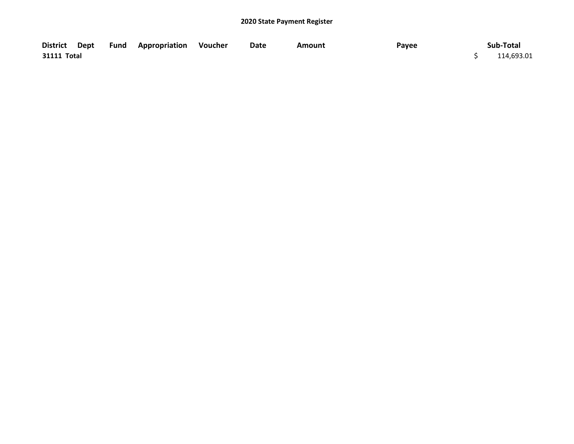|             |  | District Dept Fund Appropriation Voucher | Date | Amount | Payee | Sub-Total  |
|-------------|--|------------------------------------------|------|--------|-------|------------|
| 31111 Total |  |                                          |      |        |       | 114,693.01 |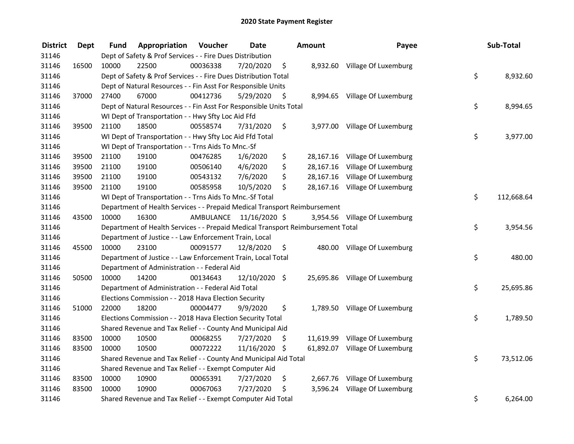| <b>District</b> | <b>Dept</b> | Fund  | Appropriation                                                                   | Voucher  | <b>Date</b>             | <b>Amount</b>   | Payee                          | Sub-Total        |
|-----------------|-------------|-------|---------------------------------------------------------------------------------|----------|-------------------------|-----------------|--------------------------------|------------------|
| 31146           |             |       | Dept of Safety & Prof Services - - Fire Dues Distribution                       |          |                         |                 |                                |                  |
| 31146           | 16500       | 10000 | 22500                                                                           | 00036338 | 7/20/2020               | \$              | 8,932.60 Village Of Luxemburg  |                  |
| 31146           |             |       | Dept of Safety & Prof Services - - Fire Dues Distribution Total                 |          |                         |                 |                                | \$<br>8,932.60   |
| 31146           |             |       | Dept of Natural Resources - - Fin Asst For Responsible Units                    |          |                         |                 |                                |                  |
| 31146           | 37000       | 27400 | 67000                                                                           | 00412736 | 5/29/2020               | \$              | 8,994.65 Village Of Luxemburg  |                  |
| 31146           |             |       | Dept of Natural Resources - - Fin Asst For Responsible Units Total              |          |                         |                 |                                | \$<br>8,994.65   |
| 31146           |             |       | WI Dept of Transportation - - Hwy Sfty Loc Aid Ffd                              |          |                         |                 |                                |                  |
| 31146           | 39500       | 21100 | 18500                                                                           | 00558574 | 7/31/2020               | \$              | 3,977.00 Village Of Luxemburg  |                  |
| 31146           |             |       | WI Dept of Transportation - - Hwy Sfty Loc Aid Ffd Total                        |          |                         |                 |                                | \$<br>3,977.00   |
| 31146           |             |       | WI Dept of Transportation - - Trns Aids To Mnc.-Sf                              |          |                         |                 |                                |                  |
| 31146           | 39500       | 21100 | 19100                                                                           | 00476285 | 1/6/2020                | \$              | 28,167.16 Village Of Luxemburg |                  |
| 31146           | 39500       | 21100 | 19100                                                                           | 00506140 | 4/6/2020                | \$<br>28,167.16 | Village Of Luxemburg           |                  |
| 31146           | 39500       | 21100 | 19100                                                                           | 00543132 | 7/6/2020                | \$<br>28,167.16 | Village Of Luxemburg           |                  |
| 31146           | 39500       | 21100 | 19100                                                                           | 00585958 | 10/5/2020               | \$              | 28,167.16 Village Of Luxemburg |                  |
| 31146           |             |       | WI Dept of Transportation - - Trns Aids To Mnc.-Sf Total                        |          |                         |                 |                                | \$<br>112,668.64 |
| 31146           |             |       | Department of Health Services - - Prepaid Medical Transport Reimbursement       |          |                         |                 |                                |                  |
| 31146           | 43500       | 10000 | 16300                                                                           |          | AMBULANCE 11/16/2020 \$ |                 | 3,954.56 Village Of Luxemburg  |                  |
| 31146           |             |       | Department of Health Services - - Prepaid Medical Transport Reimbursement Total |          |                         |                 |                                | \$<br>3,954.56   |
| 31146           |             |       | Department of Justice - - Law Enforcement Train, Local                          |          |                         |                 |                                |                  |
| 31146           | 45500       | 10000 | 23100                                                                           | 00091577 | 12/8/2020               | \$              | 480.00 Village Of Luxemburg    |                  |
| 31146           |             |       | Department of Justice - - Law Enforcement Train, Local Total                    |          |                         |                 |                                | \$<br>480.00     |
| 31146           |             |       | Department of Administration - - Federal Aid                                    |          |                         |                 |                                |                  |
| 31146           | 50500       | 10000 | 14200                                                                           | 00134643 | 12/10/2020 \$           |                 | 25,695.86 Village Of Luxemburg |                  |
| 31146           |             |       | Department of Administration - - Federal Aid Total                              |          |                         |                 |                                | \$<br>25,695.86  |
| 31146           |             |       | Elections Commission - - 2018 Hava Election Security                            |          |                         |                 |                                |                  |
| 31146           | 51000       | 22000 | 18200                                                                           | 00004477 | 9/9/2020                | \$              | 1,789.50 Village Of Luxemburg  |                  |
| 31146           |             |       | Elections Commission - - 2018 Hava Election Security Total                      |          |                         |                 |                                | \$<br>1,789.50   |
| 31146           |             |       | Shared Revenue and Tax Relief - - County And Municipal Aid                      |          |                         |                 |                                |                  |
| 31146           | 83500       | 10000 | 10500                                                                           | 00068255 | 7/27/2020               | \$              | 11,619.99 Village Of Luxemburg |                  |
| 31146           | 83500       | 10000 | 10500                                                                           | 00072222 | 11/16/2020 \$           |                 | 61,892.07 Village Of Luxemburg |                  |
| 31146           |             |       | Shared Revenue and Tax Relief - - County And Municipal Aid Total                |          |                         |                 |                                | \$<br>73,512.06  |
| 31146           |             |       | Shared Revenue and Tax Relief - - Exempt Computer Aid                           |          |                         |                 |                                |                  |
| 31146           | 83500       | 10000 | 10900                                                                           | 00065391 | 7/27/2020               | \$              | 2,667.76 Village Of Luxemburg  |                  |
| 31146           | 83500       | 10000 | 10900                                                                           | 00067063 | 7/27/2020               | \$              | 3,596.24 Village Of Luxemburg  |                  |
| 31146           |             |       | Shared Revenue and Tax Relief - - Exempt Computer Aid Total                     |          |                         |                 |                                | \$<br>6,264.00   |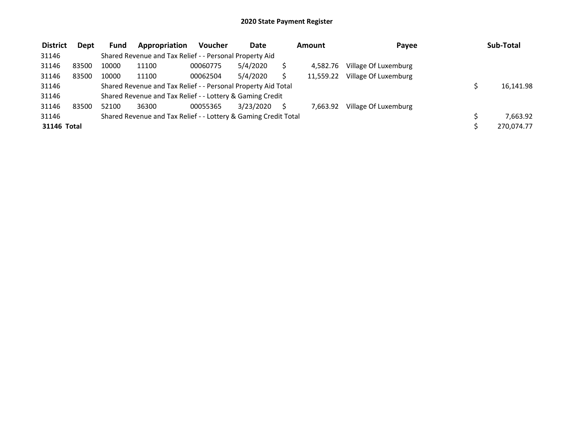| <b>District</b> | <b>Dept</b> | Fund  | Appropriation                                                   | <b>Voucher</b> | Date      | Amount |           | Payee                | Sub-Total  |
|-----------------|-------------|-------|-----------------------------------------------------------------|----------------|-----------|--------|-----------|----------------------|------------|
| 31146           |             |       | Shared Revenue and Tax Relief - - Personal Property Aid         |                |           |        |           |                      |            |
| 31146           | 83500       | 10000 | 11100                                                           | 00060775       | 5/4/2020  |        | 4.582.76  | Village Of Luxemburg |            |
| 31146           | 83500       | 10000 | 11100                                                           | 00062504       | 5/4/2020  |        | 11.559.22 | Village Of Luxemburg |            |
| 31146           |             |       | Shared Revenue and Tax Relief - - Personal Property Aid Total   |                |           |        |           |                      | 16.141.98  |
| 31146           |             |       | Shared Revenue and Tax Relief - - Lottery & Gaming Credit       |                |           |        |           |                      |            |
| 31146           | 83500       | 52100 | 36300                                                           | 00055365       | 3/23/2020 |        | 7.663.92  | Village Of Luxemburg |            |
| 31146           |             |       | Shared Revenue and Tax Relief - - Lottery & Gaming Credit Total |                |           |        |           |                      | 7.663.92   |
| 31146 Total     |             |       |                                                                 |                |           |        |           |                      | 270,074.77 |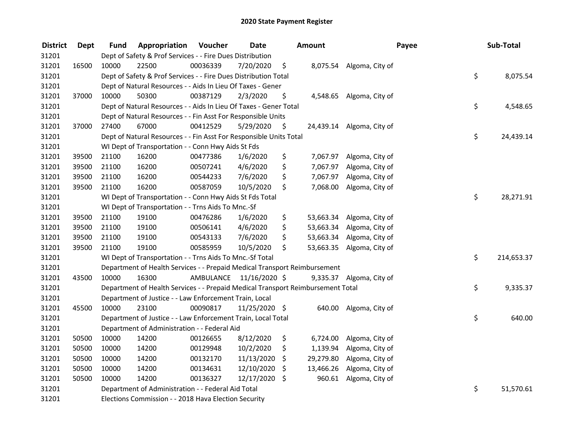| <b>District</b> | <b>Dept</b> | <b>Fund</b> | Appropriation                                                                   | Voucher  | <b>Date</b>             |      | Amount    | Payee                     | Sub-Total        |
|-----------------|-------------|-------------|---------------------------------------------------------------------------------|----------|-------------------------|------|-----------|---------------------------|------------------|
| 31201           |             |             | Dept of Safety & Prof Services - - Fire Dues Distribution                       |          |                         |      |           |                           |                  |
| 31201           | 16500       | 10000       | 22500                                                                           | 00036339 | 7/20/2020               | \$   |           | 8,075.54 Algoma, City of  |                  |
| 31201           |             |             | Dept of Safety & Prof Services - - Fire Dues Distribution Total                 |          |                         |      |           |                           | \$<br>8,075.54   |
| 31201           |             |             | Dept of Natural Resources - - Aids In Lieu Of Taxes - Gener                     |          |                         |      |           |                           |                  |
| 31201           | 37000       | 10000       | 50300                                                                           | 00387129 | 2/3/2020                | \$   |           | 4,548.65 Algoma, City of  |                  |
| 31201           |             |             | Dept of Natural Resources - - Aids In Lieu Of Taxes - Gener Total               |          |                         |      |           |                           | \$<br>4,548.65   |
| 31201           |             |             | Dept of Natural Resources - - Fin Asst For Responsible Units                    |          |                         |      |           |                           |                  |
| 31201           | 37000       | 27400       | 67000                                                                           | 00412529 | 5/29/2020               | - \$ |           | 24,439.14 Algoma, City of |                  |
| 31201           |             |             | Dept of Natural Resources - - Fin Asst For Responsible Units Total              |          |                         |      |           |                           | \$<br>24,439.14  |
| 31201           |             |             | WI Dept of Transportation - - Conn Hwy Aids St Fds                              |          |                         |      |           |                           |                  |
| 31201           | 39500       | 21100       | 16200                                                                           | 00477386 | 1/6/2020                | \$   | 7,067.97  | Algoma, City of           |                  |
| 31201           | 39500       | 21100       | 16200                                                                           | 00507241 | 4/6/2020                | \$   | 7,067.97  | Algoma, City of           |                  |
| 31201           | 39500       | 21100       | 16200                                                                           | 00544233 | 7/6/2020                | \$   | 7,067.97  | Algoma, City of           |                  |
| 31201           | 39500       | 21100       | 16200                                                                           | 00587059 | 10/5/2020               | \$   | 7,068.00  | Algoma, City of           |                  |
| 31201           |             |             | WI Dept of Transportation - - Conn Hwy Aids St Fds Total                        |          |                         |      |           |                           | \$<br>28,271.91  |
| 31201           |             |             | WI Dept of Transportation - - Trns Aids To Mnc.-Sf                              |          |                         |      |           |                           |                  |
| 31201           | 39500       | 21100       | 19100                                                                           | 00476286 | 1/6/2020                | \$   | 53,663.34 | Algoma, City of           |                  |
| 31201           | 39500       | 21100       | 19100                                                                           | 00506141 | 4/6/2020                | \$   | 53,663.34 | Algoma, City of           |                  |
| 31201           | 39500       | 21100       | 19100                                                                           | 00543133 | 7/6/2020                | \$   |           | 53,663.34 Algoma, City of |                  |
| 31201           | 39500       | 21100       | 19100                                                                           | 00585959 | 10/5/2020               | \$   | 53,663.35 | Algoma, City of           |                  |
| 31201           |             |             | WI Dept of Transportation - - Trns Aids To Mnc.-Sf Total                        |          |                         |      |           |                           | \$<br>214,653.37 |
| 31201           |             |             | Department of Health Services - - Prepaid Medical Transport Reimbursement       |          |                         |      |           |                           |                  |
| 31201           | 43500       | 10000       | 16300                                                                           |          | AMBULANCE 11/16/2020 \$ |      |           | 9,335.37 Algoma, City of  |                  |
| 31201           |             |             | Department of Health Services - - Prepaid Medical Transport Reimbursement Total |          |                         |      |           |                           | \$<br>9,335.37   |
| 31201           |             |             | Department of Justice - - Law Enforcement Train, Local                          |          |                         |      |           |                           |                  |
| 31201           | 45500       | 10000       | 23100                                                                           | 00090817 | 11/25/2020 \$           |      | 640.00    | Algoma, City of           |                  |
| 31201           |             |             | Department of Justice - - Law Enforcement Train, Local Total                    |          |                         |      |           |                           | \$<br>640.00     |
| 31201           |             |             | Department of Administration - - Federal Aid                                    |          |                         |      |           |                           |                  |
| 31201           | 50500       | 10000       | 14200                                                                           | 00126655 | 8/12/2020               | \$   | 6,724.00  | Algoma, City of           |                  |
| 31201           | 50500       | 10000       | 14200                                                                           | 00129948 | 10/2/2020               | \$   | 1,139.94  | Algoma, City of           |                  |
| 31201           | 50500       | 10000       | 14200                                                                           | 00132170 | 11/13/2020              | \$   | 29,279.80 | Algoma, City of           |                  |
| 31201           | 50500       | 10000       | 14200                                                                           | 00134631 | 12/10/2020              | \$   | 13,466.26 | Algoma, City of           |                  |
| 31201           | 50500       | 10000       | 14200                                                                           | 00136327 | 12/17/2020 \$           |      | 960.61    | Algoma, City of           |                  |
| 31201           |             |             | Department of Administration - - Federal Aid Total                              |          |                         |      |           |                           | \$<br>51,570.61  |
| 31201           |             |             | Elections Commission - - 2018 Hava Election Security                            |          |                         |      |           |                           |                  |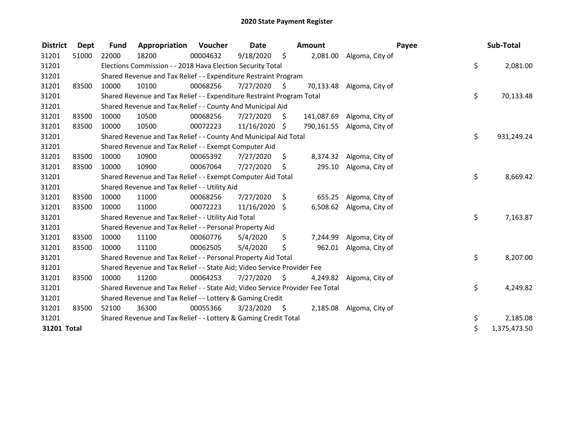| <b>District</b> | <b>Dept</b> | <b>Fund</b> | Appropriation                                                                 | Voucher  | <b>Date</b> |      | Amount    |                            | Payee | Sub-Total    |
|-----------------|-------------|-------------|-------------------------------------------------------------------------------|----------|-------------|------|-----------|----------------------------|-------|--------------|
| 31201           | 51000       | 22000       | 18200                                                                         | 00004632 | 9/18/2020   | \$   | 2,081.00  | Algoma, City of            |       |              |
| 31201           |             |             | Elections Commission - - 2018 Hava Election Security Total                    |          |             |      |           |                            | \$    | 2,081.00     |
| 31201           |             |             | Shared Revenue and Tax Relief - - Expenditure Restraint Program               |          |             |      |           |                            |       |              |
| 31201           | 83500       | 10000       | 10100                                                                         | 00068256 | 7/27/2020   | - \$ | 70,133.48 | Algoma, City of            |       |              |
| 31201           |             |             | Shared Revenue and Tax Relief - - Expenditure Restraint Program Total         |          |             |      |           |                            | \$    | 70,133.48    |
| 31201           |             |             | Shared Revenue and Tax Relief - - County And Municipal Aid                    |          |             |      |           |                            |       |              |
| 31201           | 83500       | 10000       | 10500                                                                         | 00068256 | 7/27/2020   | \$   |           | 141,087.69 Algoma, City of |       |              |
| 31201           | 83500       | 10000       | 10500                                                                         | 00072223 | 11/16/2020  | \$   |           | 790,161.55 Algoma, City of |       |              |
| 31201           |             |             | Shared Revenue and Tax Relief - - County And Municipal Aid Total              |          |             |      |           |                            | \$    | 931,249.24   |
| 31201           |             |             | Shared Revenue and Tax Relief - - Exempt Computer Aid                         |          |             |      |           |                            |       |              |
| 31201           | 83500       | 10000       | 10900                                                                         | 00065392 | 7/27/2020   | \$   | 8,374.32  | Algoma, City of            |       |              |
| 31201           | 83500       | 10000       | 10900                                                                         | 00067064 | 7/27/2020   | \$   | 295.10    | Algoma, City of            |       |              |
| 31201           |             |             | Shared Revenue and Tax Relief - - Exempt Computer Aid Total                   |          |             |      |           |                            | \$    | 8,669.42     |
| 31201           |             |             | Shared Revenue and Tax Relief - - Utility Aid                                 |          |             |      |           |                            |       |              |
| 31201           | 83500       | 10000       | 11000                                                                         | 00068256 | 7/27/2020   | \$   | 655.25    | Algoma, City of            |       |              |
| 31201           | 83500       | 10000       | 11000                                                                         | 00072223 | 11/16/2020  | \$   | 6,508.62  | Algoma, City of            |       |              |
| 31201           |             |             | Shared Revenue and Tax Relief - - Utility Aid Total                           |          |             |      |           |                            | \$    | 7,163.87     |
| 31201           |             |             | Shared Revenue and Tax Relief - - Personal Property Aid                       |          |             |      |           |                            |       |              |
| 31201           | 83500       | 10000       | 11100                                                                         | 00060776 | 5/4/2020    | \$   | 7,244.99  | Algoma, City of            |       |              |
| 31201           | 83500       | 10000       | 11100                                                                         | 00062505 | 5/4/2020    | \$   | 962.01    | Algoma, City of            |       |              |
| 31201           |             |             | Shared Revenue and Tax Relief - - Personal Property Aid Total                 |          |             |      |           |                            | \$    | 8,207.00     |
| 31201           |             |             | Shared Revenue and Tax Relief - - State Aid; Video Service Provider Fee       |          |             |      |           |                            |       |              |
| 31201           | 83500       | 10000       | 11200                                                                         | 00064253 | 7/27/2020   | -\$  | 4,249.82  | Algoma, City of            |       |              |
| 31201           |             |             | Shared Revenue and Tax Relief - - State Aid; Video Service Provider Fee Total |          |             |      |           |                            | \$    | 4,249.82     |
| 31201           |             |             | Shared Revenue and Tax Relief - - Lottery & Gaming Credit                     |          |             |      |           |                            |       |              |
| 31201           | 83500       | 52100       | 36300                                                                         | 00055366 | 3/23/2020   | - \$ | 2,185.08  | Algoma, City of            |       |              |
| 31201           |             |             | Shared Revenue and Tax Relief - - Lottery & Gaming Credit Total               |          |             |      |           |                            | \$    | 2,185.08     |
| 31201 Total     |             |             |                                                                               |          |             |      |           |                            | \$    | 1,375,473.50 |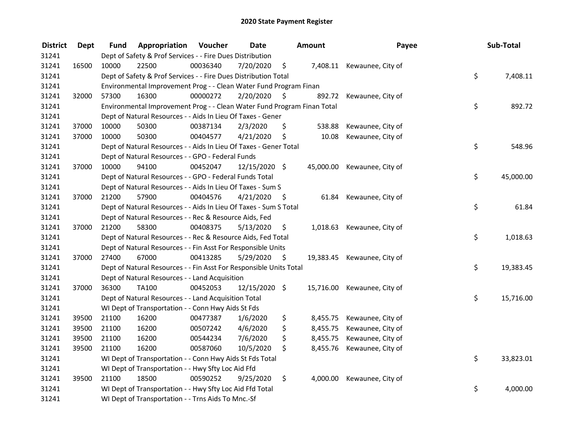| <b>District</b> | Dept  | Fund                                                                     | Appropriation                                                           | Voucher  | <b>Date</b>   |    | <b>Amount</b> | Payee             |           | Sub-Total |
|-----------------|-------|--------------------------------------------------------------------------|-------------------------------------------------------------------------|----------|---------------|----|---------------|-------------------|-----------|-----------|
| 31241           |       | Dept of Safety & Prof Services - - Fire Dues Distribution                |                                                                         |          |               |    |               |                   |           |           |
| 31241           | 16500 | 10000                                                                    | 22500                                                                   | 00036340 | 7/20/2020     | \$ | 7,408.11      | Kewaunee, City of |           |           |
| 31241           |       | \$<br>Dept of Safety & Prof Services - - Fire Dues Distribution Total    |                                                                         |          |               |    |               |                   |           | 7,408.11  |
| 31241           |       | Environmental Improvement Prog - - Clean Water Fund Program Finan        |                                                                         |          |               |    |               |                   |           |           |
| 31241           | 32000 | 57300                                                                    | 16300                                                                   | 00000272 | 2/20/2020     | \$ | 892.72        | Kewaunee, City of |           |           |
| 31241           |       |                                                                          | Environmental Improvement Prog - - Clean Water Fund Program Finan Total |          |               |    |               |                   |           |           |
| 31241           |       |                                                                          | Dept of Natural Resources - - Aids In Lieu Of Taxes - Gener             |          |               |    |               |                   |           |           |
| 31241           | 37000 | 10000                                                                    | 50300                                                                   | 00387134 | 2/3/2020      | \$ | 538.88        | Kewaunee, City of |           |           |
| 31241           | 37000 | 10000                                                                    | 50300                                                                   | 00404577 | 4/21/2020     | \$ | 10.08         | Kewaunee, City of |           |           |
| 31241           |       |                                                                          | Dept of Natural Resources - - Aids In Lieu Of Taxes - Gener Total       |          |               |    |               |                   | \$        | 548.96    |
| 31241           |       |                                                                          | Dept of Natural Resources - - GPO - Federal Funds                       |          |               |    |               |                   |           |           |
| 31241           | 37000 | 10000                                                                    | 94100                                                                   | 00452047 | 12/15/2020 \$ |    | 45,000.00     | Kewaunee, City of |           |           |
| 31241           |       |                                                                          | Dept of Natural Resources - - GPO - Federal Funds Total                 |          |               |    |               |                   | \$        | 45,000.00 |
| 31241           |       |                                                                          | Dept of Natural Resources - - Aids In Lieu Of Taxes - Sum S             |          |               |    |               |                   |           |           |
| 31241           | 37000 | 21200                                                                    | 57900                                                                   | 00404576 | 4/21/2020     | \$ | 61.84         | Kewaunee, City of |           |           |
| 31241           |       |                                                                          | Dept of Natural Resources - - Aids In Lieu Of Taxes - Sum S Total       |          |               |    |               |                   |           | 61.84     |
| 31241           |       |                                                                          | Dept of Natural Resources - - Rec & Resource Aids, Fed                  |          |               |    |               |                   |           |           |
| 31241           | 37000 | 21200                                                                    | 58300                                                                   | 00408375 | 5/13/2020     | \$ | 1,018.63      | Kewaunee, City of |           |           |
| 31241           |       | Dept of Natural Resources - - Rec & Resource Aids, Fed Total             |                                                                         |          |               |    |               |                   | \$        | 1,018.63  |
| 31241           |       |                                                                          | Dept of Natural Resources - - Fin Asst For Responsible Units            |          |               |    |               |                   |           |           |
| 31241           | 37000 | 27400                                                                    | 67000                                                                   | 00413285 | 5/29/2020     | \$ | 19,383.45     | Kewaunee, City of |           |           |
| 31241           |       | \$<br>Dept of Natural Resources - - Fin Asst For Responsible Units Total |                                                                         |          |               |    |               |                   |           | 19,383.45 |
| 31241           |       | Dept of Natural Resources - - Land Acquisition                           |                                                                         |          |               |    |               |                   |           |           |
| 31241           | 37000 | 36300                                                                    | TA100                                                                   | 00452053 | 12/15/2020 \$ |    | 15,716.00     | Kewaunee, City of |           |           |
| 31241           |       | \$<br>Dept of Natural Resources - - Land Acquisition Total               |                                                                         |          |               |    |               |                   | 15,716.00 |           |
| 31241           |       | WI Dept of Transportation - - Conn Hwy Aids St Fds                       |                                                                         |          |               |    |               |                   |           |           |
| 31241           | 39500 | 21100                                                                    | 16200                                                                   | 00477387 | 1/6/2020      | \$ | 8,455.75      | Kewaunee, City of |           |           |
| 31241           | 39500 | 21100                                                                    | 16200                                                                   | 00507242 | 4/6/2020      | \$ | 8,455.75      | Kewaunee, City of |           |           |
| 31241           | 39500 | 21100                                                                    | 16200                                                                   | 00544234 | 7/6/2020      | \$ | 8,455.75      | Kewaunee, City of |           |           |
| 31241           | 39500 | 21100                                                                    | 16200                                                                   | 00587060 | 10/5/2020     | \$ | 8,455.76      | Kewaunee, City of |           |           |
| 31241           |       | WI Dept of Transportation - - Conn Hwy Aids St Fds Total                 |                                                                         |          |               |    |               |                   | \$        | 33,823.01 |
| 31241           |       | WI Dept of Transportation - - Hwy Sfty Loc Aid Ffd                       |                                                                         |          |               |    |               |                   |           |           |
| 31241           | 39500 | 21100                                                                    | 18500                                                                   | 00590252 | 9/25/2020     | \$ | 4,000.00      | Kewaunee, City of |           |           |
| 31241           |       | \$<br>WI Dept of Transportation - - Hwy Sfty Loc Aid Ffd Total           |                                                                         |          |               |    |               |                   |           | 4,000.00  |
| 31241           |       | WI Dept of Transportation - - Trns Aids To Mnc.-Sf                       |                                                                         |          |               |    |               |                   |           |           |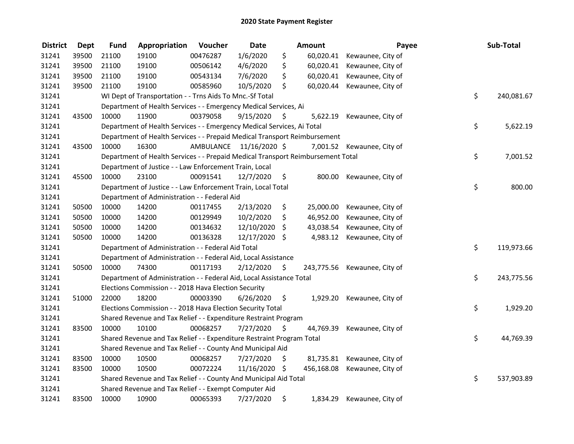| <b>District</b> | <b>Dept</b> | <b>Fund</b>                                                                 | Appropriation                                                                   | Voucher                 | <b>Date</b>   |                     | Amount     | Payee                      |            | Sub-Total  |
|-----------------|-------------|-----------------------------------------------------------------------------|---------------------------------------------------------------------------------|-------------------------|---------------|---------------------|------------|----------------------------|------------|------------|
| 31241           | 39500       | 21100                                                                       | 19100                                                                           | 00476287                | 1/6/2020      | \$                  | 60,020.41  | Kewaunee, City of          |            |            |
| 31241           | 39500       | 21100                                                                       | 19100                                                                           | 00506142                | 4/6/2020      | \$                  | 60,020.41  | Kewaunee, City of          |            |            |
| 31241           | 39500       | 21100                                                                       | 19100                                                                           | 00543134                | 7/6/2020      | \$                  | 60,020.41  | Kewaunee, City of          |            |            |
| 31241           | 39500       | 21100                                                                       | 19100                                                                           | 00585960                | 10/5/2020     | \$                  | 60,020.44  | Kewaunee, City of          |            |            |
| 31241           |             |                                                                             | WI Dept of Transportation - - Trns Aids To Mnc.-Sf Total                        |                         |               |                     |            |                            | \$         | 240,081.67 |
| 31241           |             |                                                                             | Department of Health Services - - Emergency Medical Services, Ai                |                         |               |                     |            |                            |            |            |
| 31241           | 43500       | 10000                                                                       | 11900                                                                           | 00379058                | 9/15/2020     | -S                  | 5,622.19   | Kewaunee, City of          |            |            |
| 31241           |             |                                                                             | Department of Health Services - - Emergency Medical Services, Ai Total          |                         |               |                     |            |                            | \$         | 5,622.19   |
| 31241           |             |                                                                             | Department of Health Services - - Prepaid Medical Transport Reimbursement       |                         |               |                     |            |                            |            |            |
| 31241           | 43500       | 10000                                                                       | 16300                                                                           | AMBULANCE 11/16/2020 \$ |               |                     |            | 7,001.52 Kewaunee, City of |            |            |
| 31241           |             |                                                                             | Department of Health Services - - Prepaid Medical Transport Reimbursement Total |                         |               |                     |            |                            | \$         | 7,001.52   |
| 31241           |             |                                                                             | Department of Justice - - Law Enforcement Train, Local                          |                         |               |                     |            |                            |            |            |
| 31241           | 45500       | 10000                                                                       | 23100                                                                           | 00091541                | 12/7/2020     | \$                  | 800.00     | Kewaunee, City of          |            |            |
| 31241           |             |                                                                             | Department of Justice - - Law Enforcement Train, Local Total                    |                         |               |                     |            |                            | \$         | 800.00     |
| 31241           |             |                                                                             | Department of Administration - - Federal Aid                                    |                         |               |                     |            |                            |            |            |
| 31241           | 50500       | 10000                                                                       | 14200                                                                           | 00117455                | 2/13/2020     | \$                  | 25,000.00  | Kewaunee, City of          |            |            |
| 31241           | 50500       | 10000                                                                       | 14200                                                                           | 00129949                | 10/2/2020     | \$                  | 46,952.00  | Kewaunee, City of          |            |            |
| 31241           | 50500       | 10000                                                                       | 14200                                                                           | 00134632                | 12/10/2020    | \$                  | 43,038.54  | Kewaunee, City of          |            |            |
| 31241           | 50500       | 10000                                                                       | 14200                                                                           | 00136328                | 12/17/2020 \$ |                     | 4,983.12   | Kewaunee, City of          |            |            |
| 31241           |             | Department of Administration - - Federal Aid Total                          |                                                                                 |                         |               |                     |            |                            | \$         | 119,973.66 |
| 31241           |             |                                                                             | Department of Administration - - Federal Aid, Local Assistance                  |                         |               |                     |            |                            |            |            |
| 31241           | 50500       | 10000                                                                       | 74300                                                                           | 00117193                | 2/12/2020     | $\ddot{\mathsf{S}}$ | 243,775.56 | Kewaunee, City of          |            |            |
| 31241           |             | \$<br>Department of Administration - - Federal Aid, Local Assistance Total  |                                                                                 |                         |               |                     |            |                            | 243,775.56 |            |
| 31241           |             | Elections Commission - - 2018 Hava Election Security                        |                                                                                 |                         |               |                     |            |                            |            |            |
| 31241           | 51000       | 22000                                                                       | 18200                                                                           | 00003390                | 6/26/2020     | \$                  | 1,929.20   | Kewaunee, City of          |            |            |
| 31241           |             |                                                                             | Elections Commission - - 2018 Hava Election Security Total                      |                         |               |                     |            |                            | \$         | 1,929.20   |
| 31241           |             | Shared Revenue and Tax Relief - - Expenditure Restraint Program             |                                                                                 |                         |               |                     |            |                            |            |            |
| 31241           | 83500       | 10000                                                                       | 10100                                                                           | 00068257                | 7/27/2020     | S                   | 44,769.39  | Kewaunee, City of          |            |            |
| 31241           |             | \$<br>Shared Revenue and Tax Relief - - Expenditure Restraint Program Total |                                                                                 |                         |               |                     |            |                            | 44,769.39  |            |
| 31241           |             | Shared Revenue and Tax Relief - - County And Municipal Aid                  |                                                                                 |                         |               |                     |            |                            |            |            |
| 31241           | 83500       | 10000                                                                       | 10500                                                                           | 00068257                | 7/27/2020     | \$.                 | 81,735.81  | Kewaunee, City of          |            |            |
| 31241           | 83500       | 10000                                                                       | 10500                                                                           | 00072224                | 11/16/2020 \$ |                     | 456,168.08 | Kewaunee, City of          |            |            |
| 31241           |             | Shared Revenue and Tax Relief - - County And Municipal Aid Total            |                                                                                 |                         |               |                     |            | \$                         | 537,903.89 |            |
| 31241           |             | Shared Revenue and Tax Relief - - Exempt Computer Aid                       |                                                                                 |                         |               |                     |            |                            |            |            |
| 31241           | 83500       | 10000                                                                       | 10900                                                                           | 00065393                | 7/27/2020     | \$                  | 1,834.29   | Kewaunee, City of          |            |            |